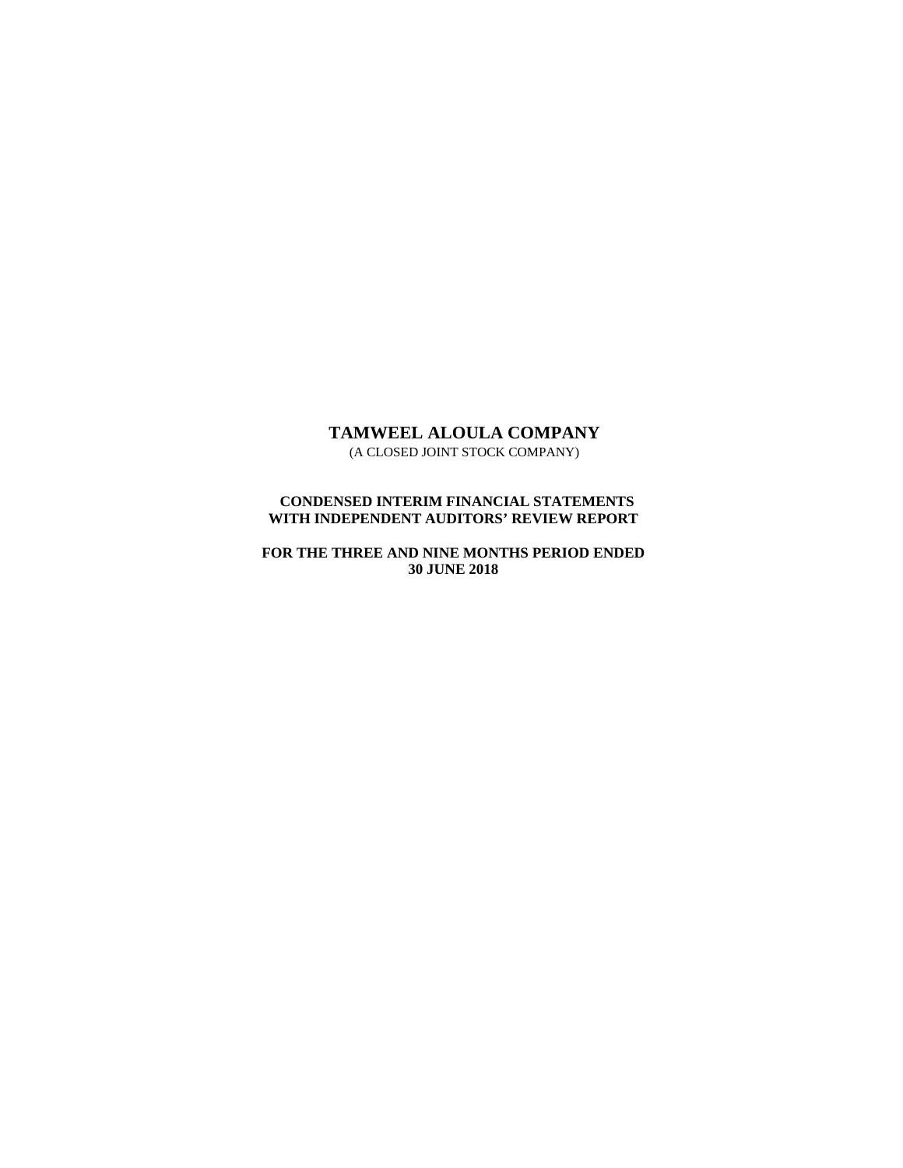# **TAMWEEL ALOULA COMPANY** (A CLOSED JOINT STOCK COMPANY)

 **CONDENSED INTERIM FINANCIAL STATEMENTS WITH INDEPENDENT AUDITORS' REVIEW REPORT** 

**FOR THE THREE AND NINE MONTHS PERIOD ENDED 30 JUNE 2018**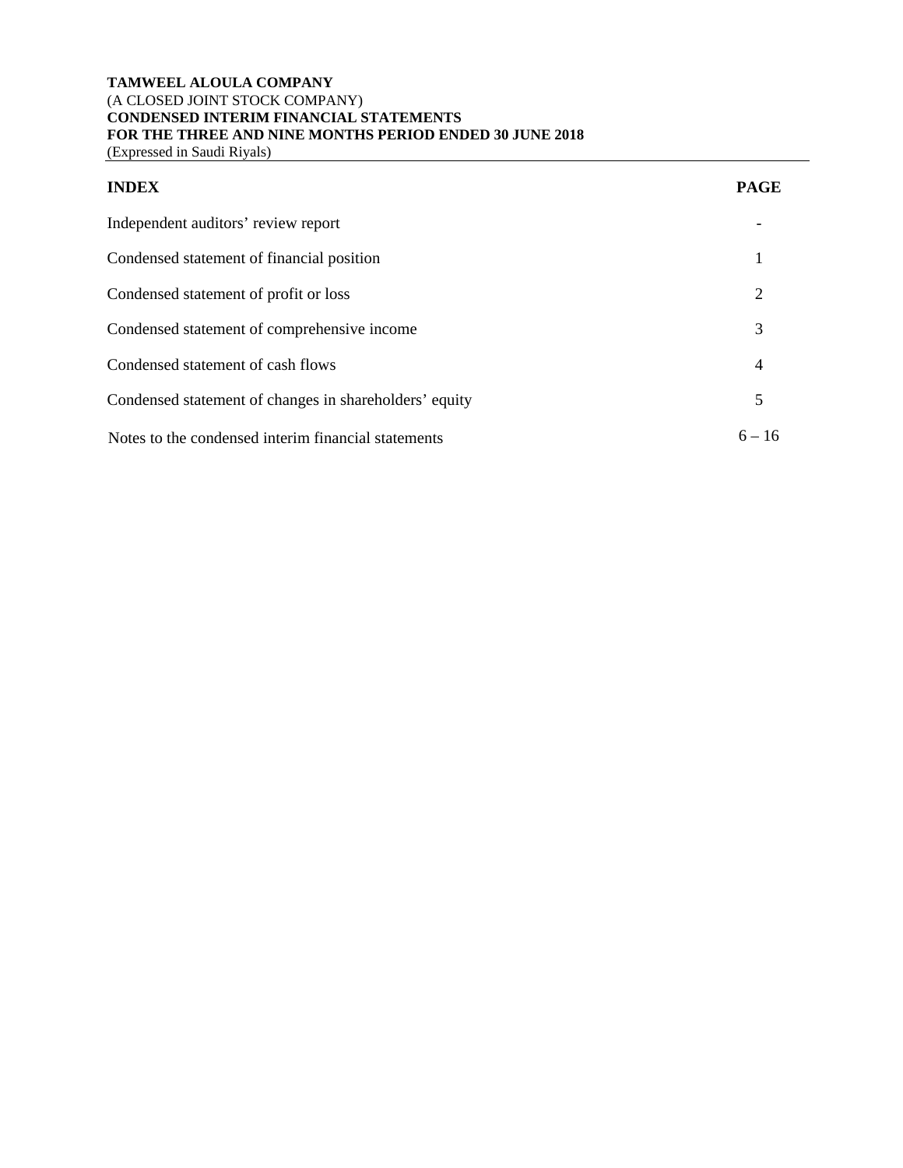# **TAMWEEL ALOULA COMPANY**  (A CLOSED JOINT STOCK COMPANY) **CONDENSED INTERIM FINANCIAL STATEMENTS FOR THE THREE AND NINE MONTHS PERIOD ENDED 30 JUNE 2018**

(Expressed in Saudi Riyals)

| <b>PAGE</b> |
|-------------|
|             |

| ×<br>۰. |  |
|---------|--|
|         |  |

| Independent auditors' review report                    |          |
|--------------------------------------------------------|----------|
| Condensed statement of financial position              |          |
| Condensed statement of profit or loss                  | 2        |
| Condensed statement of comprehensive income            | 3        |
| Condensed statement of cash flows                      | 4        |
| Condensed statement of changes in shareholders' equity | 5        |
| Notes to the condensed interim financial statements    | $6 - 16$ |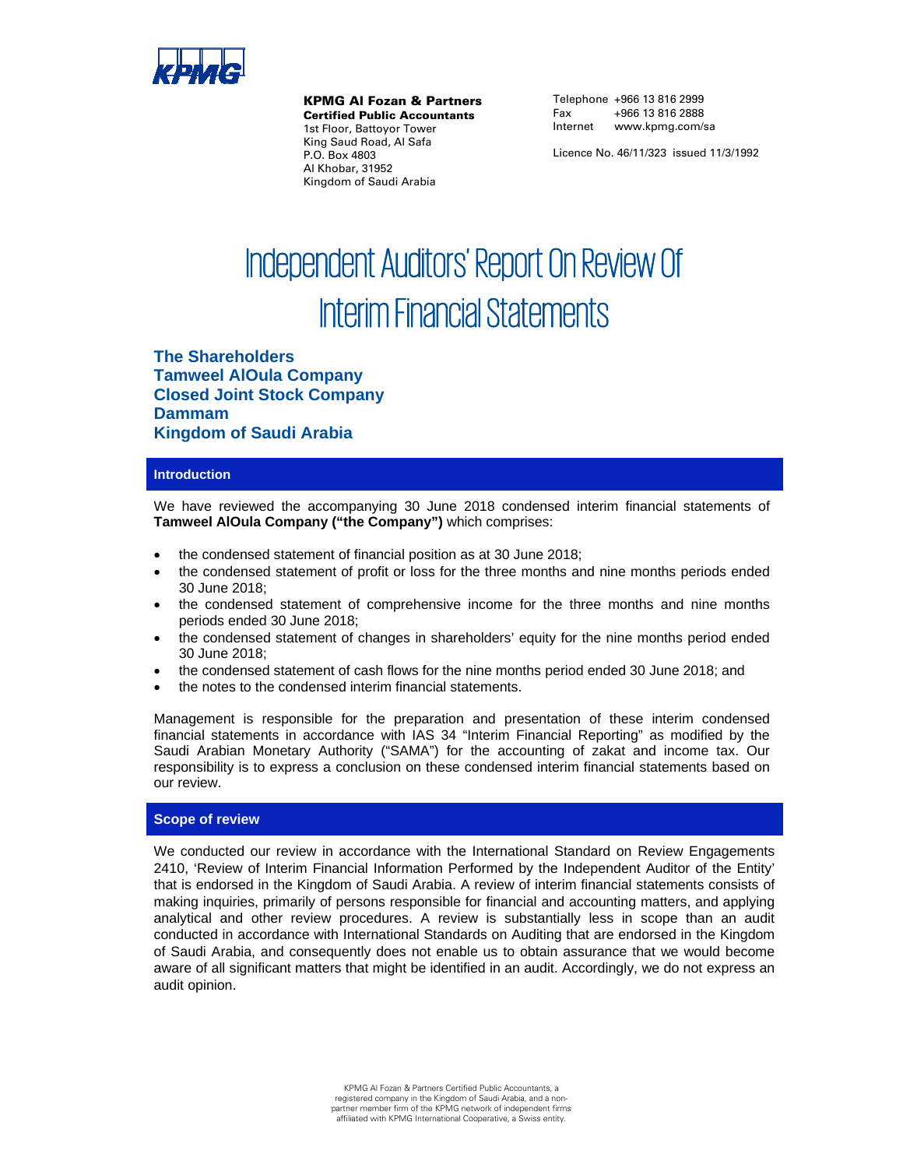

KPMG Al Fozan & Partners

Certified Public Accountants 1st Floor, Battoyor Tower King Saud Road, Al Safa P.O. Box 4803 Al Khobar, 31952 Kingdom of Saudi Arabia

Telephone +966 13 816 2999 Fax +966 13 816 2888 Internet www.kpmg.com/sa

Licence No. 46/11/323 issued 11/3/1992

# Independent Auditors' Report On Review Of Interim Financial Statements

**The Shareholders Tamweel AlOula Company Closed Joint Stock Company Dammam Kingdom of Saudi Arabia**

## **Introduction**

We have reviewed the accompanying 30 June 2018 condensed interim financial statements of **Tamweel AlOula Company ("the Company")** which comprises:

- the condensed statement of financial position as at 30 June 2018;
- the condensed statement of profit or loss for the three months and nine months periods ended 30 June 2018;
- the condensed statement of comprehensive income for the three months and nine months periods ended 30 June 2018;
- the condensed statement of changes in shareholders' equity for the nine months period ended 30 June 2018;
- the condensed statement of cash flows for the nine months period ended 30 June 2018; and
- the notes to the condensed interim financial statements.

Management is responsible for the preparation and presentation of these interim condensed financial statements in accordance with IAS 34 "Interim Financial Reporting" as modified by the Saudi Arabian Monetary Authority ("SAMA") for the accounting of zakat and income tax. Our responsibility is to express a conclusion on these condensed interim financial statements based on our review.

## **Scope of review**

We conducted our review in accordance with the International Standard on Review Engagements 2410, 'Review of Interim Financial Information Performed by the Independent Auditor of the Entity' that is endorsed in the Kingdom of Saudi Arabia. A review of interim financial statements consists of making inquiries, primarily of persons responsible for financial and accounting matters, and applying analytical and other review procedures. A review is substantially less in scope than an audit conducted in accordance with International Standards on Auditing that are endorsed in the Kingdom of Saudi Arabia, and consequently does not enable us to obtain assurance that we would become aware of all significant matters that might be identified in an audit. Accordingly, we do not express an audit opinion.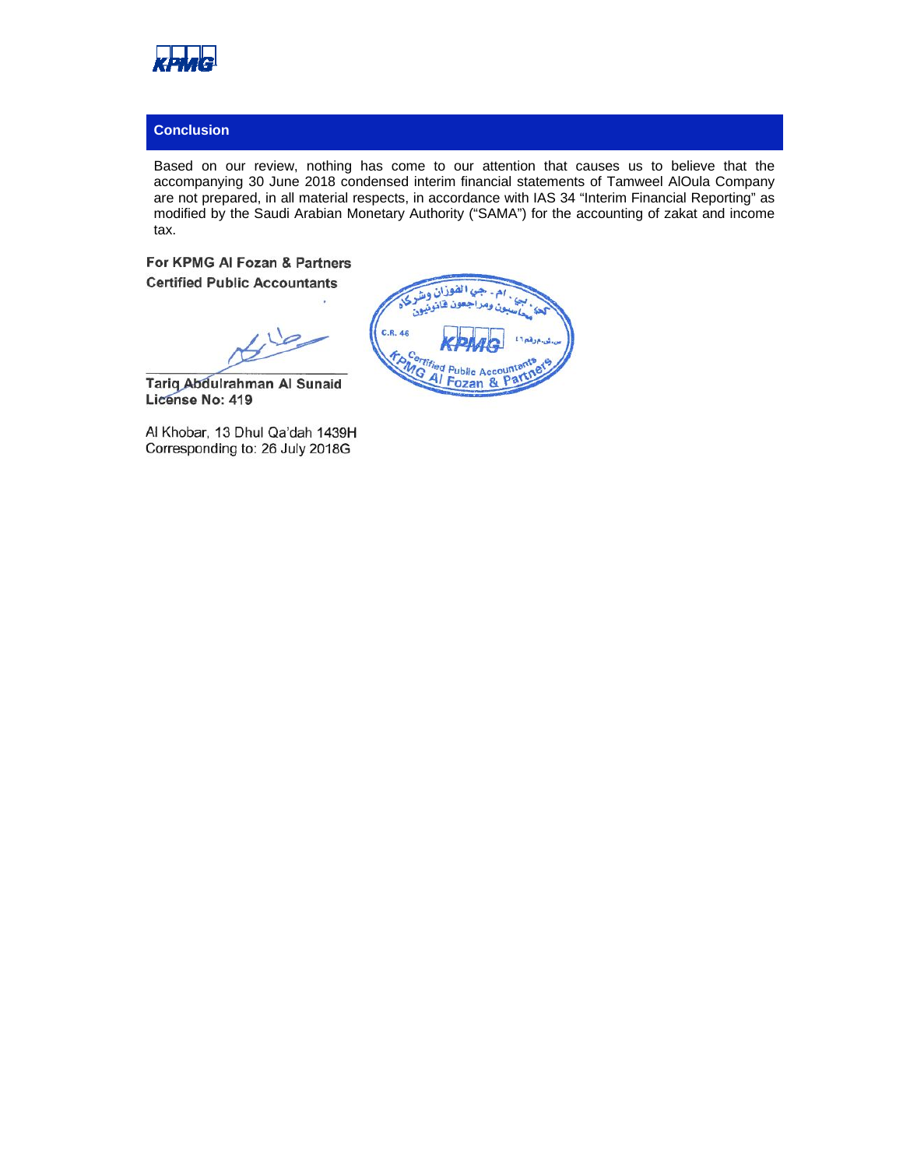

# **Conclusion**

Based on our review, nothing has come to our attention that causes us to believe that the accompanying 30 June 2018 condensed interim financial statements of Tamweel AlOula Company are not prepared, in all material respects, in accordance with IAS 34 "Interim Financial Reporting" as modified by the Saudi Arabian Monetary Authority ("SAMA") for the accounting of zakat and income tax.

**For KPMG Al Fozan & Partners Certified Public Accountants** 

 $\overline{\mathcal{P}}$  $\frac{1}{2}$ 

**Tariq Abdulrahman Al Sunaid License No: 419** 

Al Khobar, 13 Dhul Qa'dah 1439H Corresponding to: 26 July 2018G

بالفوزان و C.R. 46 **FARGITIS** d Public Acco unti Al Fozan & Part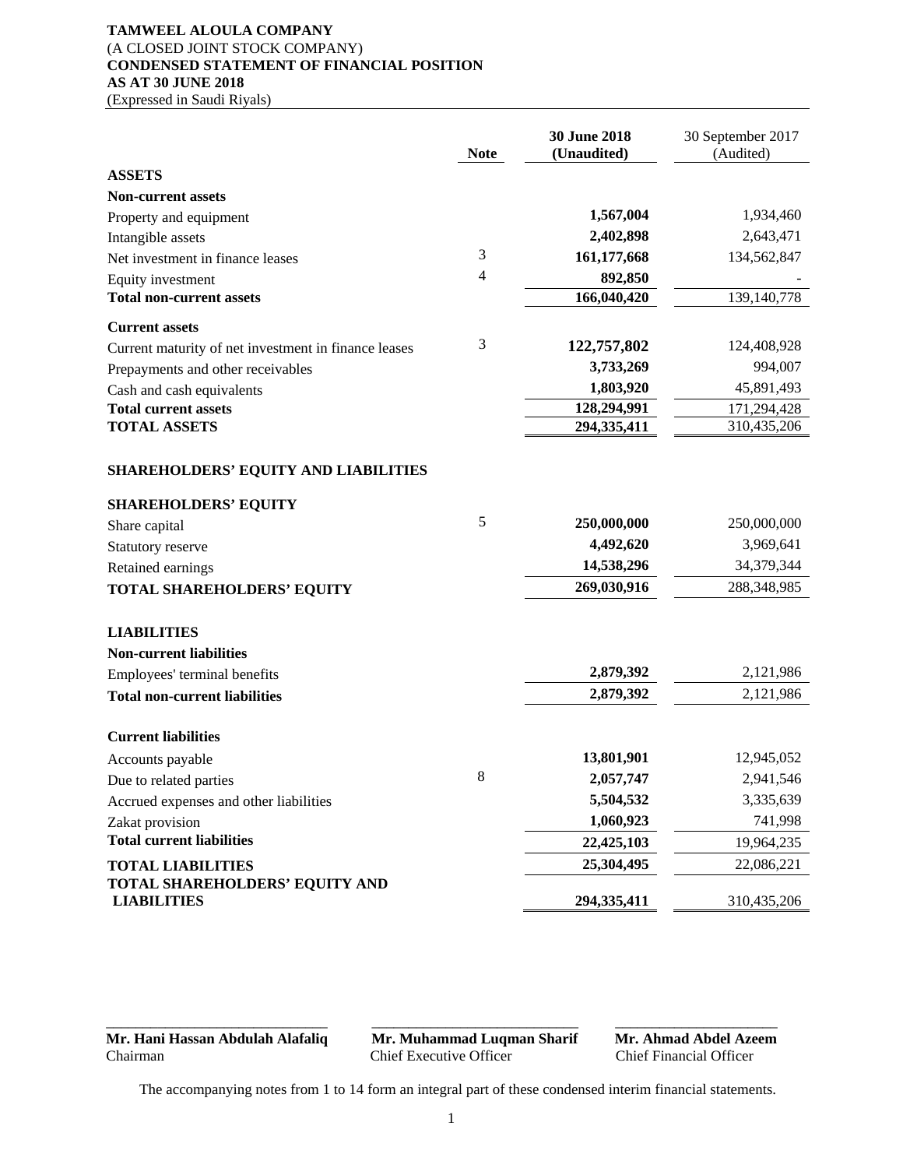# **TAMWEEL ALOULA COMPANY**  (A CLOSED JOINT STOCK COMPANY) **CONDENSED STATEMENT OF FINANCIAL POSITION AS AT 30 JUNE 2018**

(Expressed in Saudi Riyals)

|                                                      | <b>Note</b> | 30 June 2018<br>(Unaudited) | 30 September 2017<br>(Audited) |
|------------------------------------------------------|-------------|-----------------------------|--------------------------------|
| <b>ASSETS</b>                                        |             |                             |                                |
| <b>Non-current assets</b>                            |             |                             |                                |
| Property and equipment                               |             | 1,567,004                   | 1,934,460                      |
| Intangible assets                                    |             | 2,402,898                   | 2,643,471                      |
| Net investment in finance leases                     | 3           | 161,177,668                 | 134,562,847                    |
| Equity investment                                    | 4           | 892,850                     |                                |
| <b>Total non-current assets</b>                      |             | 166,040,420                 | 139,140,778                    |
| <b>Current assets</b>                                |             |                             |                                |
| Current maturity of net investment in finance leases | 3           | 122,757,802                 | 124,408,928                    |
| Prepayments and other receivables                    |             | 3,733,269                   | 994,007                        |
| Cash and cash equivalents                            |             | 1,803,920                   | 45,891,493                     |
| <b>Total current assets</b>                          |             | 128,294,991                 | 171,294,428                    |
| <b>TOTAL ASSETS</b>                                  |             | 294,335,411                 | 310,435,206                    |
| SHAREHOLDERS' EQUITY AND LIABILITIES                 |             |                             |                                |
| <b>SHAREHOLDERS' EQUITY</b>                          |             |                             |                                |
| Share capital                                        | 5           | 250,000,000                 | 250,000,000                    |
| Statutory reserve                                    |             | 4,492,620                   | 3,969,641                      |
| Retained earnings                                    |             | 14,538,296                  | 34,379,344                     |
| TOTAL SHAREHOLDERS' EQUITY                           |             | 269,030,916                 | 288,348,985                    |
| <b>LIABILITIES</b>                                   |             |                             |                                |
| <b>Non-current liabilities</b>                       |             | 2,879,392                   | 2,121,986                      |
| Employees' terminal benefits                         |             |                             |                                |
| <b>Total non-current liabilities</b>                 |             | 2,879,392                   | 2,121,986                      |
| <b>Current liabilities</b>                           |             |                             |                                |
| Accounts payable                                     |             | 13,801,901                  | 12,945,052                     |
| Due to related parties                               | 8           | 2,057,747                   | 2,941,546                      |
| Accrued expenses and other liabilities               |             | 5,504,532                   | 3,335,639                      |
| Zakat provision                                      |             | 1,060,923                   | 741,998                        |
| <b>Total current liabilities</b>                     |             | 22,425,103                  | 19,964,235                     |
| <b>TOTAL LIABILITIES</b>                             |             | 25,304,495                  | 22,086,221                     |
| TOTAL SHAREHOLDERS' EQUITY AND<br><b>LIABILITIES</b> |             | 294,335,411                 | 310,435,206                    |

**Mr. Hani Hassan Abdulah Alafaliq Mr. Muhammad Luqman Sharif Mr. Ahmad Abdel Azeem**<br>Chief Executive Officer Chief Financial Officer

Chief Executive Officer

The accompanying notes from 1 to 14 form an integral part of these condensed interim financial statements.

\_\_\_\_\_\_\_\_\_\_\_\_\_\_\_\_\_\_\_\_\_\_\_\_\_\_\_\_\_\_ \_\_\_\_\_\_\_\_\_\_\_\_\_\_\_\_\_\_\_\_\_\_\_\_\_\_\_\_ \_\_\_\_\_\_\_\_\_\_\_\_\_\_\_\_\_\_\_\_\_\_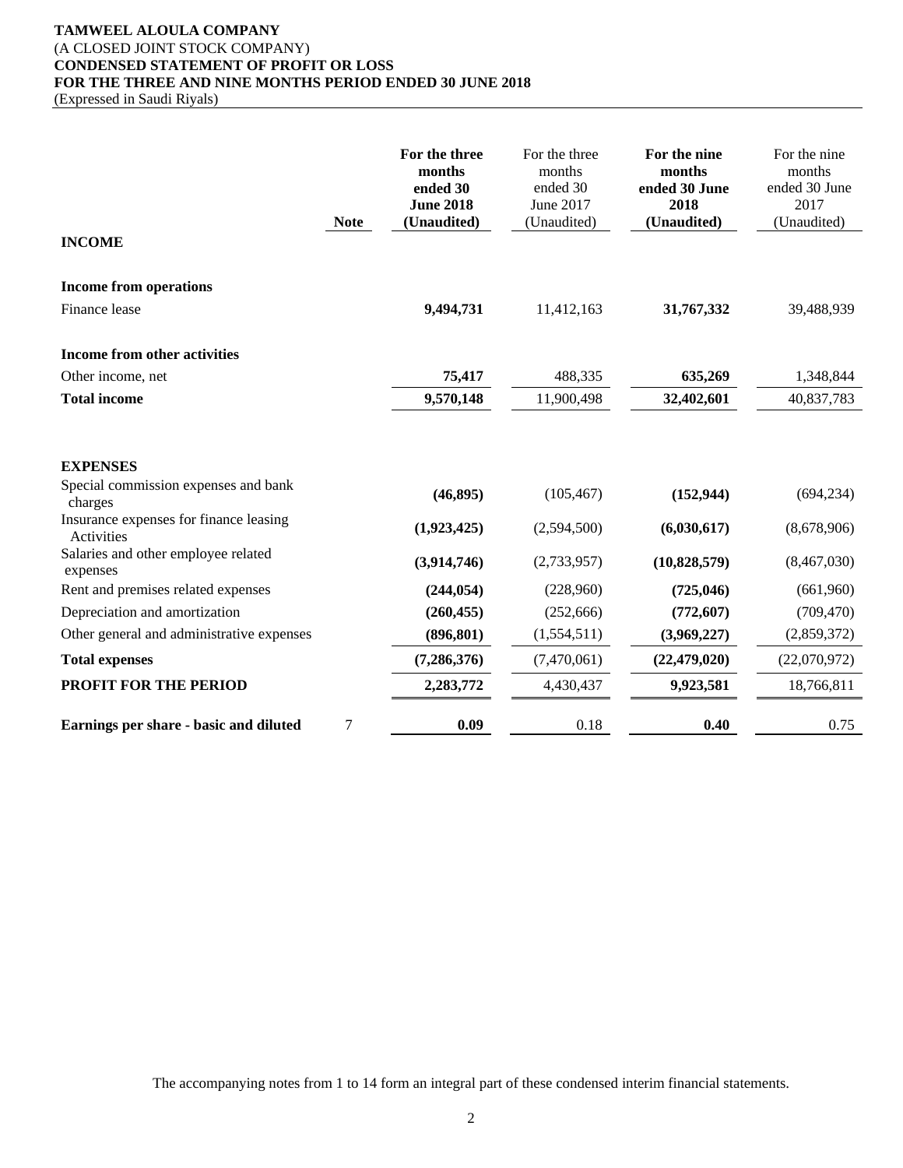# **TAMWEEL ALOULA COMPANY**  (A CLOSED JOINT STOCK COMPANY) **CONDENSED STATEMENT OF PROFIT OR LOSS FOR THE THREE AND NINE MONTHS PERIOD ENDED 30 JUNE 2018**

(Expressed in Saudi Riyals)

| <b>Note</b>                                          | For the three<br>months<br>ended 30<br><b>June 2018</b><br>(Unaudited) | For the three<br>months<br>ended 30<br>June 2017<br>(Unaudited) | For the nine<br>months<br>ended 30 June<br>2018<br>(Unaudited) | For the nine<br>months<br>ended 30 June<br>2017<br>(Unaudited) |
|------------------------------------------------------|------------------------------------------------------------------------|-----------------------------------------------------------------|----------------------------------------------------------------|----------------------------------------------------------------|
| <b>INCOME</b>                                        |                                                                        |                                                                 |                                                                |                                                                |
| <b>Income from operations</b>                        |                                                                        |                                                                 |                                                                |                                                                |
| Finance lease                                        | 9,494,731                                                              | 11,412,163                                                      | 31,767,332                                                     | 39,488,939                                                     |
| Income from other activities                         |                                                                        |                                                                 |                                                                |                                                                |
| Other income, net                                    | 75,417                                                                 | 488,335                                                         | 635,269                                                        | 1,348,844                                                      |
| <b>Total income</b>                                  | 9,570,148                                                              | 11,900,498                                                      | 32,402,601                                                     | 40,837,783                                                     |
| <b>EXPENSES</b>                                      |                                                                        |                                                                 |                                                                |                                                                |
| Special commission expenses and bank<br>charges      | (46, 895)                                                              | (105, 467)                                                      | (152, 944)                                                     | (694, 234)                                                     |
| Insurance expenses for finance leasing<br>Activities | (1,923,425)                                                            | (2,594,500)                                                     | (6,030,617)                                                    | (8,678,906)                                                    |
| Salaries and other employee related<br>expenses      | (3,914,746)                                                            | (2,733,957)                                                     | (10,828,579)                                                   | (8,467,030)                                                    |
| Rent and premises related expenses                   | (244, 054)                                                             | (228,960)                                                       | (725, 046)                                                     | (661,960)                                                      |
| Depreciation and amortization                        | (260, 455)                                                             | (252,666)                                                       | (772, 607)                                                     | (709, 470)                                                     |
| Other general and administrative expenses            | (896, 801)                                                             | (1,554,511)                                                     | (3,969,227)                                                    | (2,859,372)                                                    |
| <b>Total expenses</b>                                | (7, 286, 376)                                                          | (7,470,061)                                                     | (22, 479, 020)                                                 | (22,070,972)                                                   |
| PROFIT FOR THE PERIOD                                | 2,283,772                                                              | 4,430,437                                                       | 9,923,581                                                      | 18,766,811                                                     |
| 7<br>Earnings per share - basic and diluted          | 0.09                                                                   | 0.18                                                            | 0.40                                                           | 0.75                                                           |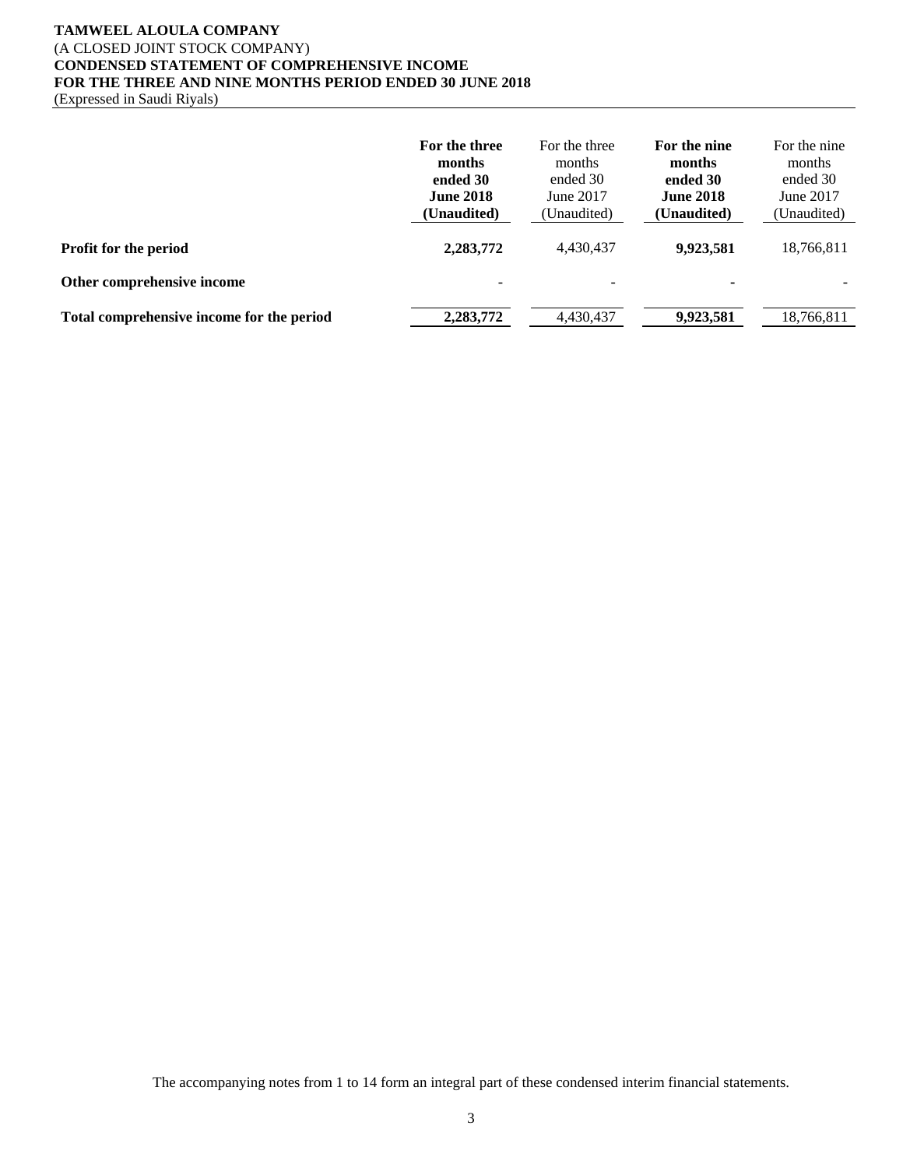## **TAMWEEL ALOULA COMPANY**  (A CLOSED JOINT STOCK COMPANY) **CONDENSED STATEMENT OF COMPREHENSIVE INCOME FOR THE THREE AND NINE MONTHS PERIOD ENDED 30 JUNE 2018**  (Expressed in Saudi Riyals)

|                                           | For the three<br>months<br>ended 30<br><b>June 2018</b><br>(Unaudited) | For the three<br>months<br>ended 30<br>June 2017<br>(Unaudited) | For the nine<br>months<br>ended 30<br><b>June 2018</b><br>(Unaudited) | For the nine<br>months<br>ended 30<br>June 2017<br>(Unaudited) |
|-------------------------------------------|------------------------------------------------------------------------|-----------------------------------------------------------------|-----------------------------------------------------------------------|----------------------------------------------------------------|
| <b>Profit for the period</b>              | 2,283,772                                                              | 4,430,437                                                       | 9,923,581                                                             | 18,766,811                                                     |
| Other comprehensive income                | $\qquad \qquad \blacksquare$                                           |                                                                 |                                                                       |                                                                |
| Total comprehensive income for the period | 2,283,772                                                              | 4.430.437                                                       | 9,923,581                                                             | 18.766.811                                                     |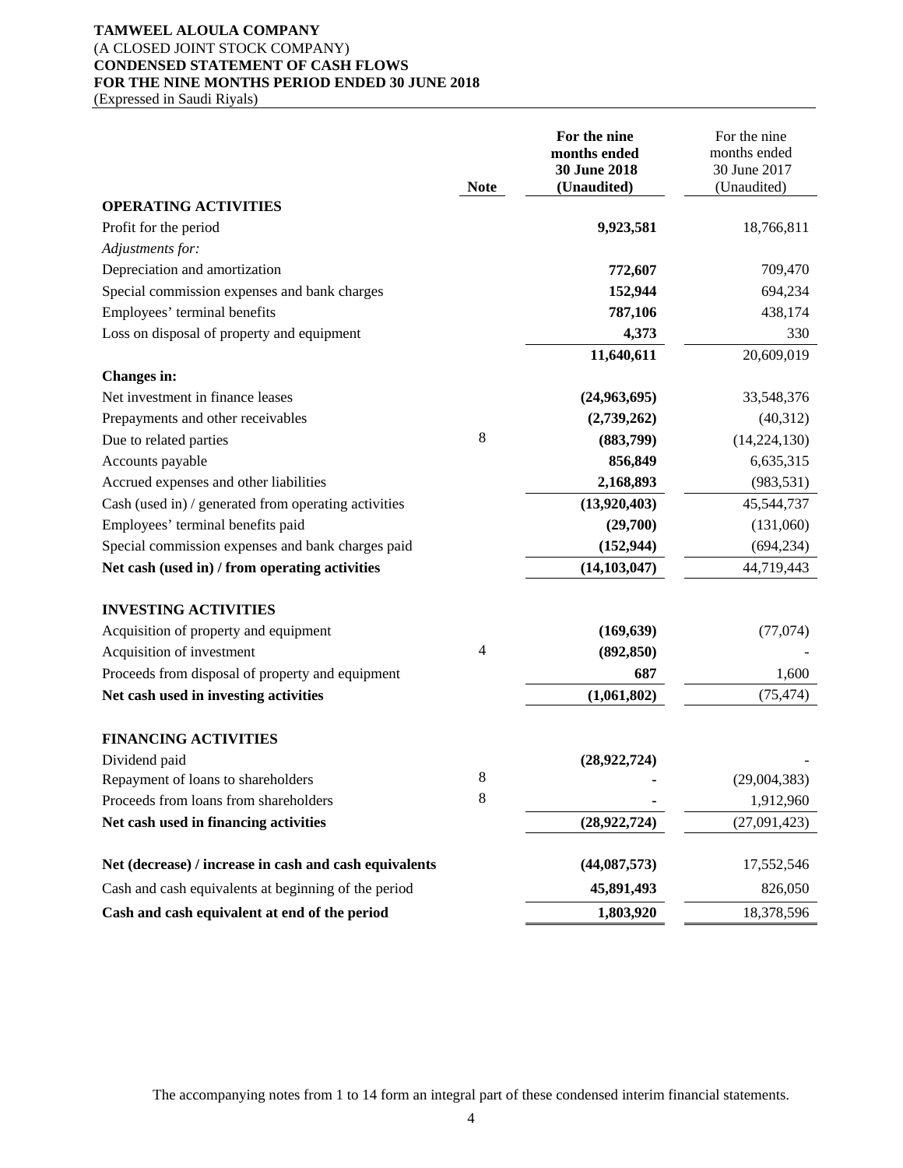## **TAMWEEL ALOULA COMPANY**  (A CLOSED JOINT STOCK COMPANY) **CONDENSED STATEMENT OF CASH FLOWS FOR THE NINE MONTHS PERIOD ENDED 30 JUNE 2018**  (Expressed in Saudi Riyals)

|                                                        | <b>Note</b> | For the nine<br>months ended<br>30 June 2018<br>(Unaudited) | For the nine<br>months ended<br>30 June 2017<br>(Unaudited) |
|--------------------------------------------------------|-------------|-------------------------------------------------------------|-------------------------------------------------------------|
| <b>OPERATING ACTIVITIES</b>                            |             |                                                             |                                                             |
| Profit for the period                                  |             | 9,923,581                                                   | 18,766,811                                                  |
| Adjustments for:                                       |             |                                                             |                                                             |
| Depreciation and amortization                          |             | 772,607                                                     | 709,470                                                     |
| Special commission expenses and bank charges           |             | 152,944                                                     | 694,234                                                     |
| Employees' terminal benefits                           |             | 787,106                                                     | 438,174                                                     |
| Loss on disposal of property and equipment             |             | 4,373                                                       | 330                                                         |
|                                                        |             | 11,640,611                                                  | 20,609,019                                                  |
| <b>Changes</b> in:                                     |             |                                                             |                                                             |
| Net investment in finance leases                       |             | (24,963,695)                                                | 33,548,376                                                  |
| Prepayments and other receivables                      |             | (2,739,262)                                                 | (40,312)                                                    |
| Due to related parties                                 | 8           | (883,799)                                                   | (14, 224, 130)                                              |
| Accounts payable                                       |             | 856,849                                                     | 6,635,315                                                   |
| Accrued expenses and other liabilities                 |             | 2,168,893                                                   | (983, 531)                                                  |
| Cash (used in) / generated from operating activities   |             | (13,920,403)                                                | 45,544,737                                                  |
| Employees' terminal benefits paid                      |             | (29,700)                                                    | (131,060)                                                   |
| Special commission expenses and bank charges paid      |             | (152, 944)                                                  | (694, 234)                                                  |
| Net cash (used in) / from operating activities         |             | (14, 103, 047)                                              | 44,719,443                                                  |
| <b>INVESTING ACTIVITIES</b>                            |             |                                                             |                                                             |
| Acquisition of property and equipment                  |             | (169, 639)                                                  | (77,074)                                                    |
| Acquisition of investment                              | 4           | (892, 850)                                                  |                                                             |
| Proceeds from disposal of property and equipment       |             | 687                                                         | 1,600                                                       |
| Net cash used in investing activities                  |             | (1,061,802)                                                 | (75, 474)                                                   |
| <b>FINANCING ACTIVITIES</b>                            |             |                                                             |                                                             |
| Dividend paid                                          |             | (28,922,724)                                                |                                                             |
| Repayment of loans to shareholders                     | 8           |                                                             | (29,004,383)                                                |
| Proceeds from loans from shareholders                  | 8           |                                                             | 1,912,960                                                   |
| Net cash used in financing activities                  |             | (28,922,724)                                                | (27,091,423)                                                |
| Net (decrease) / increase in cash and cash equivalents |             | (44,087,573)                                                | 17,552,546                                                  |
| Cash and cash equivalents at beginning of the period   |             | 45,891,493                                                  | 826,050                                                     |
| Cash and cash equivalent at end of the period          |             | 1,803,920                                                   | 18,378,596                                                  |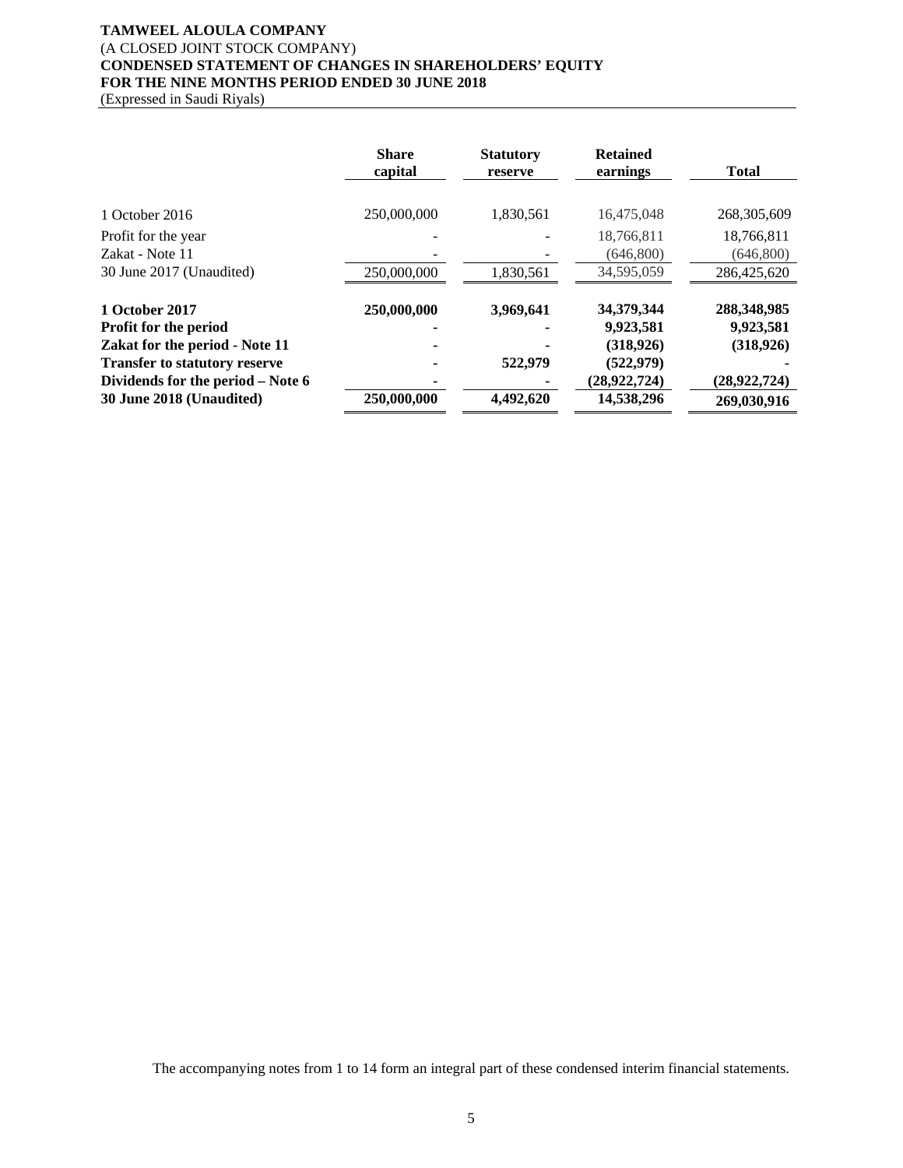# **TAMWEEL ALOULA COMPANY**  (A CLOSED JOINT STOCK COMPANY) **CONDENSED STATEMENT OF CHANGES IN SHAREHOLDERS' EQUITY FOR THE NINE MONTHS PERIOD ENDED 30 JUNE 2018**

(Expressed in Saudi Riyals)

|                                                                                                                                                               | <b>Share</b><br>capital | <b>Statutory</b><br>reserve | <b>Retained</b><br>earnings                                           | <b>Total</b>                                           |
|---------------------------------------------------------------------------------------------------------------------------------------------------------------|-------------------------|-----------------------------|-----------------------------------------------------------------------|--------------------------------------------------------|
| 1 October 2016<br>Profit for the year<br>Zakat - Note 11                                                                                                      | 250,000,000             | 1,830,561                   | 16,475,048<br>18,766,811<br>(646,800)                                 | 268, 305, 609<br>18,766,811<br>(646,800)               |
| 30 June 2017 (Unaudited)                                                                                                                                      | 250,000,000             | 1,830,561                   | 34,595,059                                                            | 286,425,620                                            |
| 1 October 2017<br><b>Profit for the period</b><br>Zakat for the period - Note 11<br><b>Transfer to statutory reserve</b><br>Dividends for the period – Note 6 | 250,000,000             | 3,969,641<br>522,979        | 34,379,344<br>9,923,581<br>(318, 926)<br>(522, 979)<br>(28, 922, 724) | 288,348,985<br>9,923,581<br>(318, 926)<br>(28,922,724) |
| 30 June 2018 (Unaudited)                                                                                                                                      | 250,000,000             | 4,492,620                   | 14,538,296                                                            | 269,030,916                                            |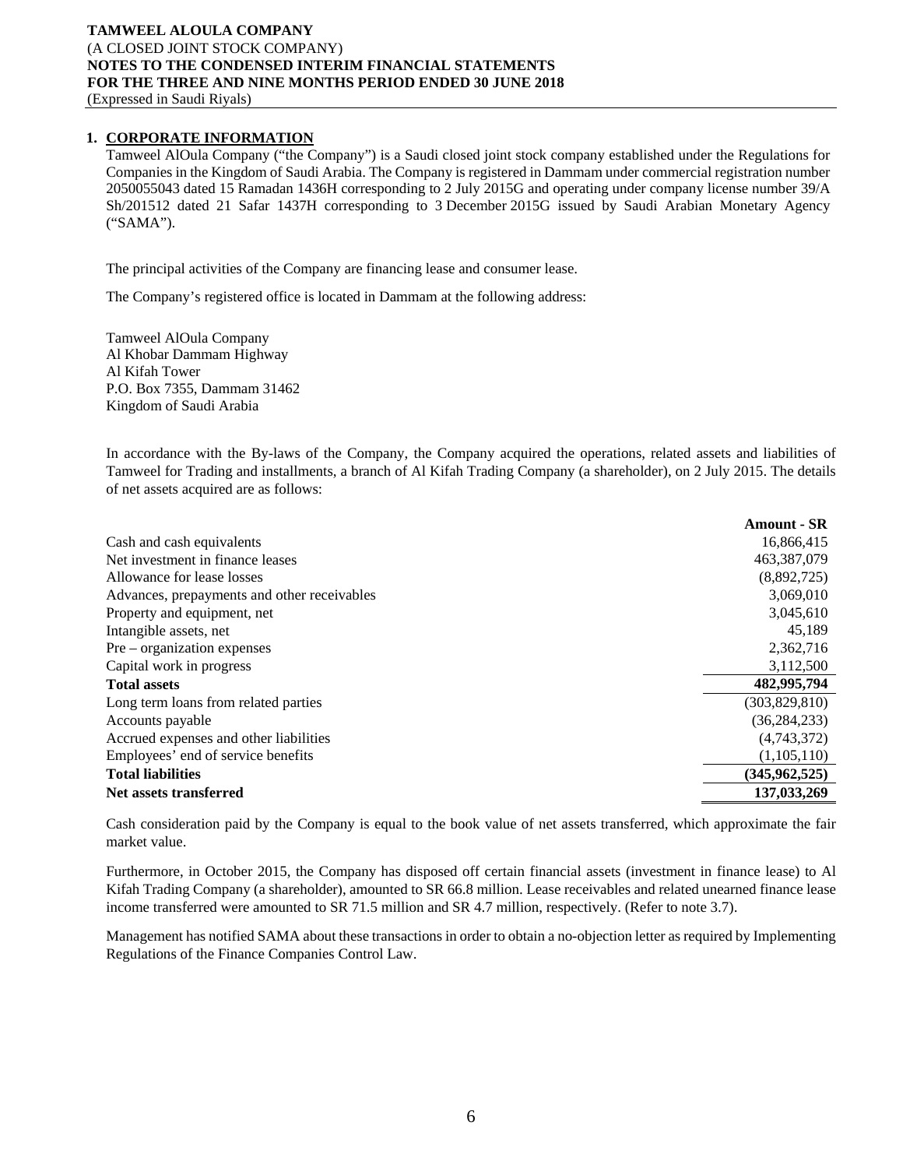# **1. CORPORATE INFORMATION**

Tamweel AlOula Company ("the Company") is a Saudi closed joint stock company established under the Regulations for Companies in the Kingdom of Saudi Arabia. The Company is registered in Dammam under commercial registration number 2050055043 dated 15 Ramadan 1436H corresponding to 2 July 2015G and operating under company license number 39/A Sh/201512 dated 21 Safar 1437H corresponding to 3 December 2015G issued by Saudi Arabian Monetary Agency ("SAMA").

The principal activities of the Company are financing lease and consumer lease.

The Company's registered office is located in Dammam at the following address:

Tamweel AlOula Company Al Khobar Dammam Highway Al Kifah Tower P.O. Box 7355, Dammam 31462 Kingdom of Saudi Arabia

In accordance with the By-laws of the Company, the Company acquired the operations, related assets and liabilities of Tamweel for Trading and installments, a branch of Al Kifah Trading Company (a shareholder), on 2 July 2015. The details of net assets acquired are as follows:

|                                             | <b>Amount - SR</b> |
|---------------------------------------------|--------------------|
| Cash and cash equivalents                   | 16,866,415         |
| Net investment in finance leases            | 463,387,079        |
| Allowance for lease losses                  | (8,892,725)        |
| Advances, prepayments and other receivables | 3,069,010          |
| Property and equipment, net                 | 3,045,610          |
| Intangible assets, net                      | 45,189             |
| $Pre-organization$ expenses                 | 2,362,716          |
| Capital work in progress                    | 3,112,500          |
| <b>Total assets</b>                         | 482,995,794        |
| Long term loans from related parties        | (303, 829, 810)    |
| Accounts payable                            | (36, 284, 233)     |
| Accrued expenses and other liabilities      | (4,743,372)        |
| Employees' end of service benefits          | (1,105,110)        |
| <b>Total liabilities</b>                    | (345, 962, 525)    |
| Net assets transferred                      | 137,033,269        |

Cash consideration paid by the Company is equal to the book value of net assets transferred, which approximate the fair market value.

Furthermore, in October 2015, the Company has disposed off certain financial assets (investment in finance lease) to Al Kifah Trading Company (a shareholder), amounted to SR 66.8 million. Lease receivables and related unearned finance lease income transferred were amounted to SR 71.5 million and SR 4.7 million, respectively. (Refer to note 3.7).

Management has notified SAMA about these transactions in order to obtain a no-objection letter as required by Implementing Regulations of the Finance Companies Control Law.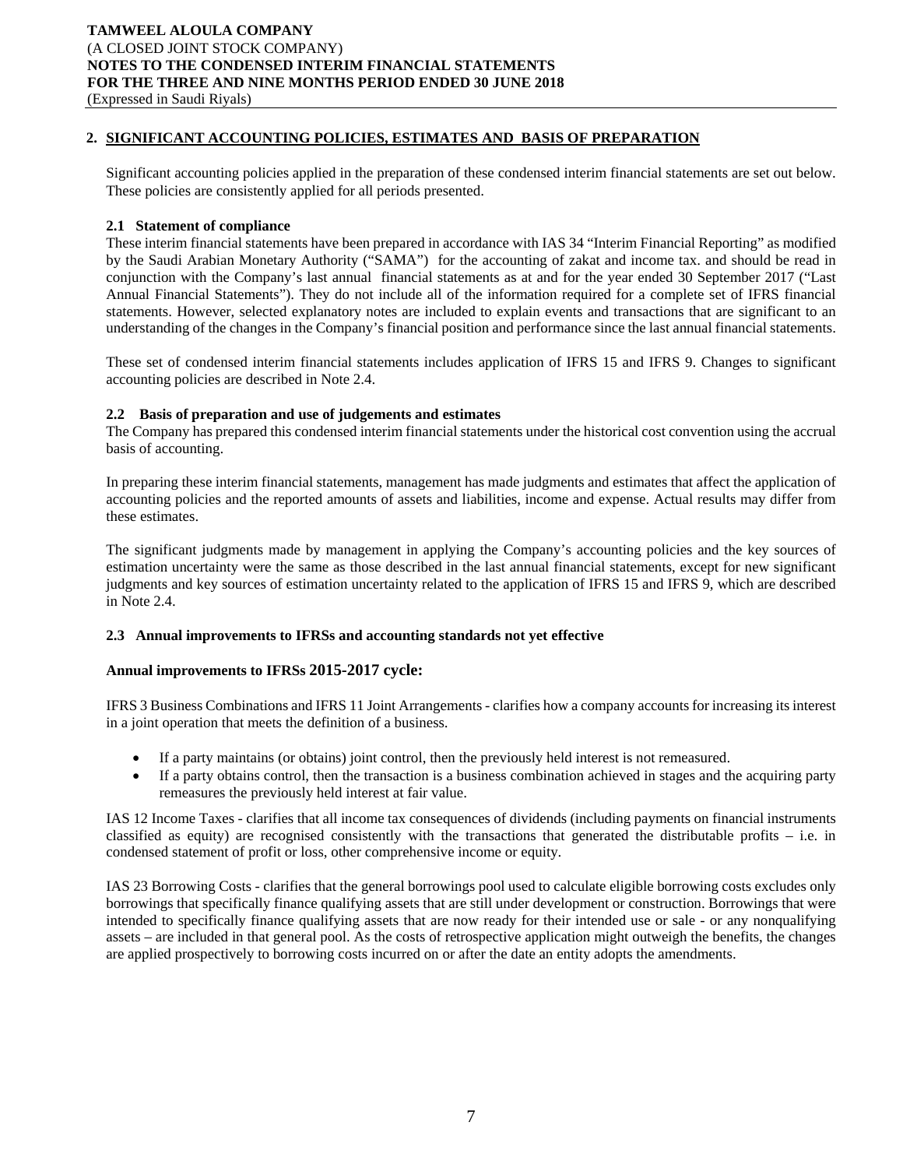# **2. SIGNIFICANT ACCOUNTING POLICIES, ESTIMATES AND BASIS OF PREPARATION**

Significant accounting policies applied in the preparation of these condensed interim financial statements are set out below. These policies are consistently applied for all periods presented.

## **2.1 Statement of compliance**

These interim financial statements have been prepared in accordance with IAS 34 "Interim Financial Reporting" as modified by the Saudi Arabian Monetary Authority ("SAMA") for the accounting of zakat and income tax. and should be read in conjunction with the Company's last annual financial statements as at and for the year ended 30 September 2017 ("Last Annual Financial Statements"). They do not include all of the information required for a complete set of IFRS financial statements. However, selected explanatory notes are included to explain events and transactions that are significant to an understanding of the changes in the Company's financial position and performance since the last annual financial statements.

These set of condensed interim financial statements includes application of IFRS 15 and IFRS 9. Changes to significant accounting policies are described in Note 2.4.

## **2.2 Basis of preparation and use of judgements and estimates**

The Company has prepared this condensed interim financial statements under the historical cost convention using the accrual basis of accounting.

In preparing these interim financial statements, management has made judgments and estimates that affect the application of accounting policies and the reported amounts of assets and liabilities, income and expense. Actual results may differ from these estimates.

The significant judgments made by management in applying the Company's accounting policies and the key sources of estimation uncertainty were the same as those described in the last annual financial statements, except for new significant judgments and key sources of estimation uncertainty related to the application of IFRS 15 and IFRS 9, which are described in Note 2.4.

## **2.3 Annual improvements to IFRSs and accounting standards not yet effective**

## **Annual improvements to IFRSs 2015-2017 cycle:**

IFRS 3 Business Combinations and IFRS 11 Joint Arrangements - clarifies how a company accounts for increasing its interest in a joint operation that meets the definition of a business.

- If a party maintains (or obtains) joint control, then the previously held interest is not remeasured.
- If a party obtains control, then the transaction is a business combination achieved in stages and the acquiring party remeasures the previously held interest at fair value.

IAS 12 Income Taxes - clarifies that all income tax consequences of dividends (including payments on financial instruments classified as equity) are recognised consistently with the transactions that generated the distributable profits – i.e. in condensed statement of profit or loss, other comprehensive income or equity.

IAS 23 Borrowing Costs - clarifies that the general borrowings pool used to calculate eligible borrowing costs excludes only borrowings that specifically finance qualifying assets that are still under development or construction. Borrowings that were intended to specifically finance qualifying assets that are now ready for their intended use or sale - or any nonqualifying assets – are included in that general pool. As the costs of retrospective application might outweigh the benefits, the changes are applied prospectively to borrowing costs incurred on or after the date an entity adopts the amendments.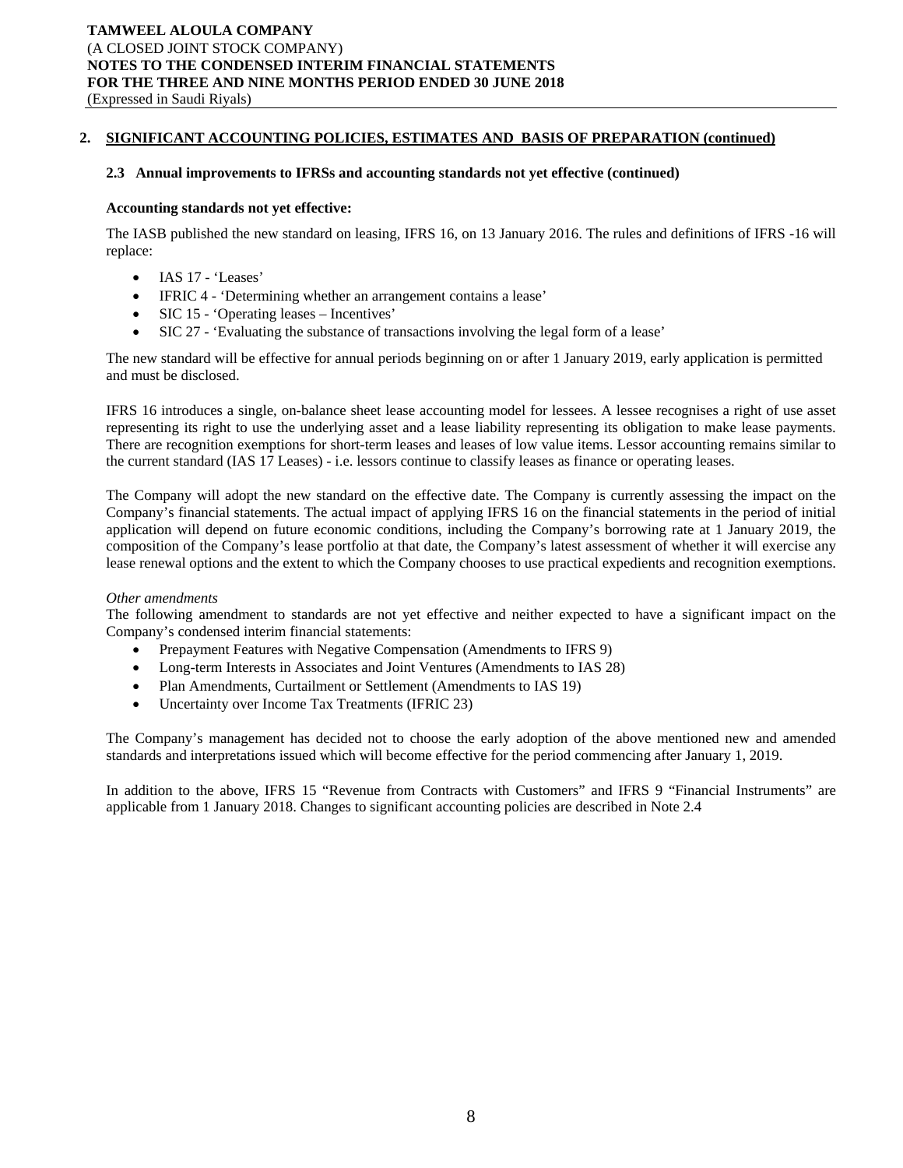## **2. SIGNIFICANT ACCOUNTING POLICIES, ESTIMATES AND BASIS OF PREPARATION (continued)**

## **2.3 Annual improvements to IFRSs and accounting standards not yet effective (continued)**

#### **Accounting standards not yet effective:**

The IASB published the new standard on leasing, IFRS 16, on 13 January 2016. The rules and definitions of IFRS -16 will replace:

- IAS 17 'Leases'
- IFRIC 4 'Determining whether an arrangement contains a lease'
- SIC 15 'Operating leases Incentives'
- SIC 27 'Evaluating the substance of transactions involving the legal form of a lease'

The new standard will be effective for annual periods beginning on or after 1 January 2019, early application is permitted and must be disclosed.

IFRS 16 introduces a single, on-balance sheet lease accounting model for lessees. A lessee recognises a right of use asset representing its right to use the underlying asset and a lease liability representing its obligation to make lease payments. There are recognition exemptions for short-term leases and leases of low value items. Lessor accounting remains similar to the current standard (IAS 17 Leases) - i.e. lessors continue to classify leases as finance or operating leases.

The Company will adopt the new standard on the effective date. The Company is currently assessing the impact on the Company's financial statements. The actual impact of applying IFRS 16 on the financial statements in the period of initial application will depend on future economic conditions, including the Company's borrowing rate at 1 January 2019, the composition of the Company's lease portfolio at that date, the Company's latest assessment of whether it will exercise any lease renewal options and the extent to which the Company chooses to use practical expedients and recognition exemptions.

## *Other amendments*

The following amendment to standards are not yet effective and neither expected to have a significant impact on the Company's condensed interim financial statements:

- Prepayment Features with Negative Compensation (Amendments to IFRS 9)
- Long-term Interests in Associates and Joint Ventures (Amendments to IAS 28)
- Plan Amendments, Curtailment or Settlement (Amendments to IAS 19)
- Uncertainty over Income Tax Treatments (IFRIC 23)

The Company's management has decided not to choose the early adoption of the above mentioned new and amended standards and interpretations issued which will become effective for the period commencing after January 1, 2019.

In addition to the above, IFRS 15 "Revenue from Contracts with Customers" and IFRS 9 "Financial Instruments" are applicable from 1 January 2018. Changes to significant accounting policies are described in Note 2.4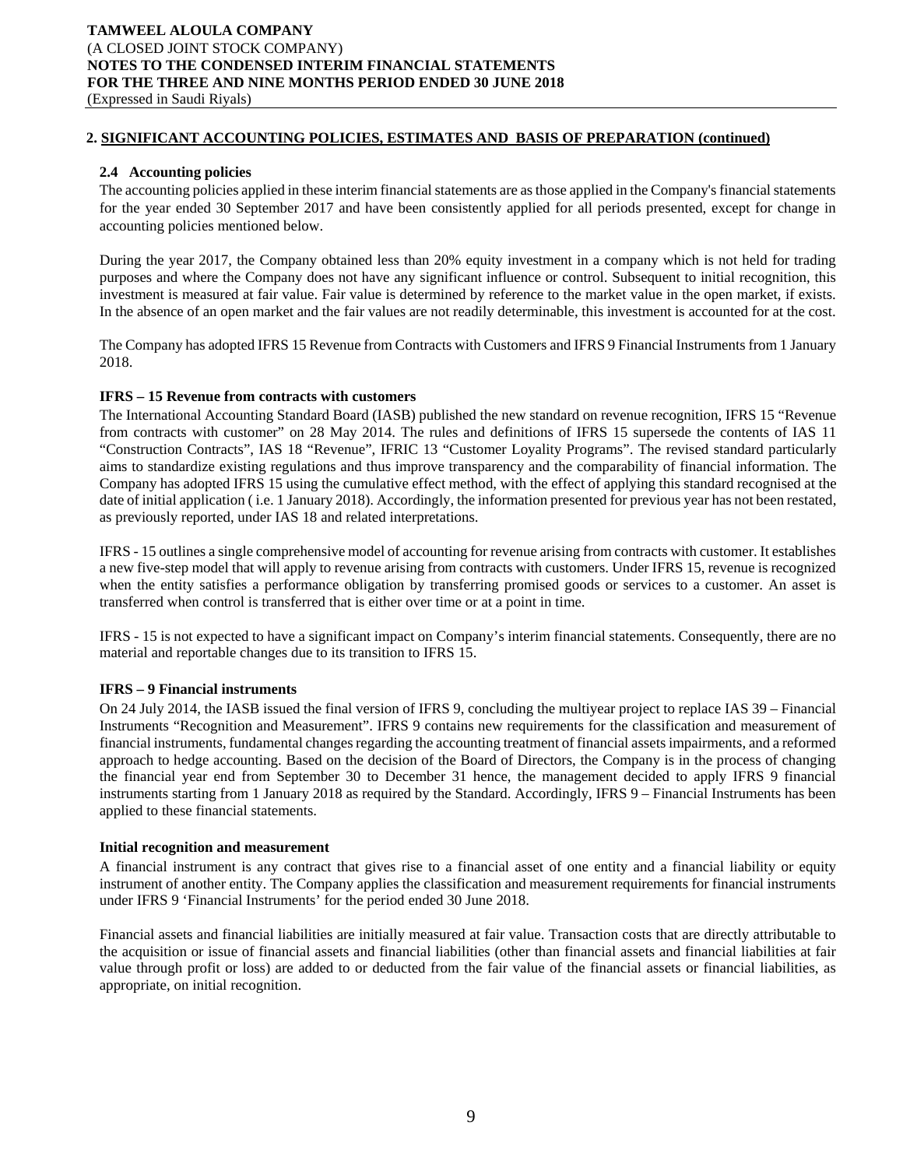## **2. SIGNIFICANT ACCOUNTING POLICIES, ESTIMATES AND BASIS OF PREPARATION (continued)**

## **2.4 Accounting policies**

The accounting policies applied in these interim financial statements are as those applied in the Company's financial statements for the year ended 30 September 2017 and have been consistently applied for all periods presented, except for change in accounting policies mentioned below.

During the year 2017, the Company obtained less than 20% equity investment in a company which is not held for trading purposes and where the Company does not have any significant influence or control. Subsequent to initial recognition, this investment is measured at fair value. Fair value is determined by reference to the market value in the open market, if exists. In the absence of an open market and the fair values are not readily determinable, this investment is accounted for at the cost.

The Company has adopted IFRS 15 Revenue from Contracts with Customers and IFRS 9 Financial Instruments from 1 January 2018.

## **IFRS – 15 Revenue from contracts with customers**

The International Accounting Standard Board (IASB) published the new standard on revenue recognition, IFRS 15 "Revenue from contracts with customer" on 28 May 2014. The rules and definitions of IFRS 15 supersede the contents of IAS 11 "Construction Contracts", IAS 18 "Revenue", IFRIC 13 "Customer Loyality Programs". The revised standard particularly aims to standardize existing regulations and thus improve transparency and the comparability of financial information. The Company has adopted IFRS 15 using the cumulative effect method, with the effect of applying this standard recognised at the date of initial application ( i.e. 1 January 2018). Accordingly, the information presented for previous year has not been restated, as previously reported, under IAS 18 and related interpretations.

IFRS - 15 outlines a single comprehensive model of accounting for revenue arising from contracts with customer. It establishes a new five-step model that will apply to revenue arising from contracts with customers. Under IFRS 15, revenue is recognized when the entity satisfies a performance obligation by transferring promised goods or services to a customer. An asset is transferred when control is transferred that is either over time or at a point in time.

IFRS - 15 is not expected to have a significant impact on Company's interim financial statements. Consequently, there are no material and reportable changes due to its transition to IFRS 15.

## **IFRS – 9 Financial instruments**

On 24 July 2014, the IASB issued the final version of IFRS 9, concluding the multiyear project to replace IAS 39 – Financial Instruments "Recognition and Measurement". IFRS 9 contains new requirements for the classification and measurement of financial instruments, fundamental changes regarding the accounting treatment of financial assets impairments, and a reformed approach to hedge accounting. Based on the decision of the Board of Directors, the Company is in the process of changing the financial year end from September 30 to December 31 hence, the management decided to apply IFRS 9 financial instruments starting from 1 January 2018 as required by the Standard. Accordingly, IFRS 9 – Financial Instruments has been applied to these financial statements.

## **Initial recognition and measurement**

A financial instrument is any contract that gives rise to a financial asset of one entity and a financial liability or equity instrument of another entity. The Company applies the classification and measurement requirements for financial instruments under IFRS 9 'Financial Instruments' for the period ended 30 June 2018.

Financial assets and financial liabilities are initially measured at fair value. Transaction costs that are directly attributable to the acquisition or issue of financial assets and financial liabilities (other than financial assets and financial liabilities at fair value through profit or loss) are added to or deducted from the fair value of the financial assets or financial liabilities, as appropriate, on initial recognition.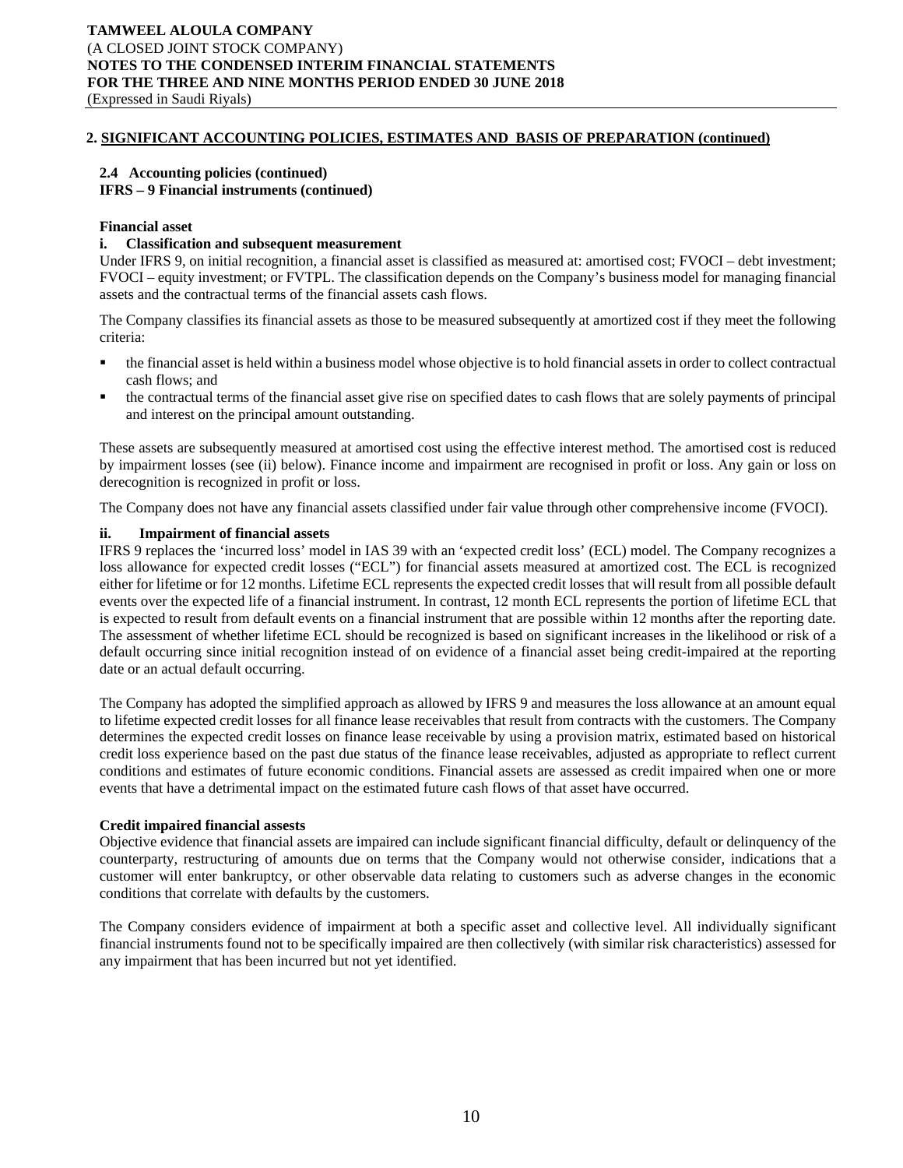# **2. SIGNIFICANT ACCOUNTING POLICIES, ESTIMATES AND BASIS OF PREPARATION (continued)**

## **2.4 Accounting policies (continued)**

## **IFRS – 9 Financial instruments (continued)**

## **Financial asset**

## **i. Classification and subsequent measurement**

Under IFRS 9, on initial recognition, a financial asset is classified as measured at: amortised cost; FVOCI – debt investment; FVOCI – equity investment; or FVTPL. The classification depends on the Company's business model for managing financial assets and the contractual terms of the financial assets cash flows.

The Company classifies its financial assets as those to be measured subsequently at amortized cost if they meet the following criteria:

- the financial asset is held within a business model whose objective is to hold financial assets in order to collect contractual cash flows; and
- the contractual terms of the financial asset give rise on specified dates to cash flows that are solely payments of principal and interest on the principal amount outstanding.

These assets are subsequently measured at amortised cost using the effective interest method. The amortised cost is reduced by impairment losses (see (ii) below). Finance income and impairment are recognised in profit or loss. Any gain or loss on derecognition is recognized in profit or loss.

The Company does not have any financial assets classified under fair value through other comprehensive income (FVOCI).

## **ii. Impairment of financial assets**

IFRS 9 replaces the 'incurred loss' model in IAS 39 with an 'expected credit loss' (ECL) model. The Company recognizes a loss allowance for expected credit losses ("ECL") for financial assets measured at amortized cost. The ECL is recognized either for lifetime or for 12 months. Lifetime ECL represents the expected credit losses that will result from all possible default events over the expected life of a financial instrument. In contrast, 12 month ECL represents the portion of lifetime ECL that is expected to result from default events on a financial instrument that are possible within 12 months after the reporting date. The assessment of whether lifetime ECL should be recognized is based on significant increases in the likelihood or risk of a default occurring since initial recognition instead of on evidence of a financial asset being credit-impaired at the reporting date or an actual default occurring.

The Company has adopted the simplified approach as allowed by IFRS 9 and measures the loss allowance at an amount equal to lifetime expected credit losses for all finance lease receivables that result from contracts with the customers. The Company determines the expected credit losses on finance lease receivable by using a provision matrix, estimated based on historical credit loss experience based on the past due status of the finance lease receivables, adjusted as appropriate to reflect current conditions and estimates of future economic conditions. Financial assets are assessed as credit impaired when one or more events that have a detrimental impact on the estimated future cash flows of that asset have occurred.

## **Credit impaired financial assests**

Objective evidence that financial assets are impaired can include significant financial difficulty, default or delinquency of the counterparty, restructuring of amounts due on terms that the Company would not otherwise consider, indications that a customer will enter bankruptcy, or other observable data relating to customers such as adverse changes in the economic conditions that correlate with defaults by the customers.

The Company considers evidence of impairment at both a specific asset and collective level. All individually significant financial instruments found not to be specifically impaired are then collectively (with similar risk characteristics) assessed for any impairment that has been incurred but not yet identified.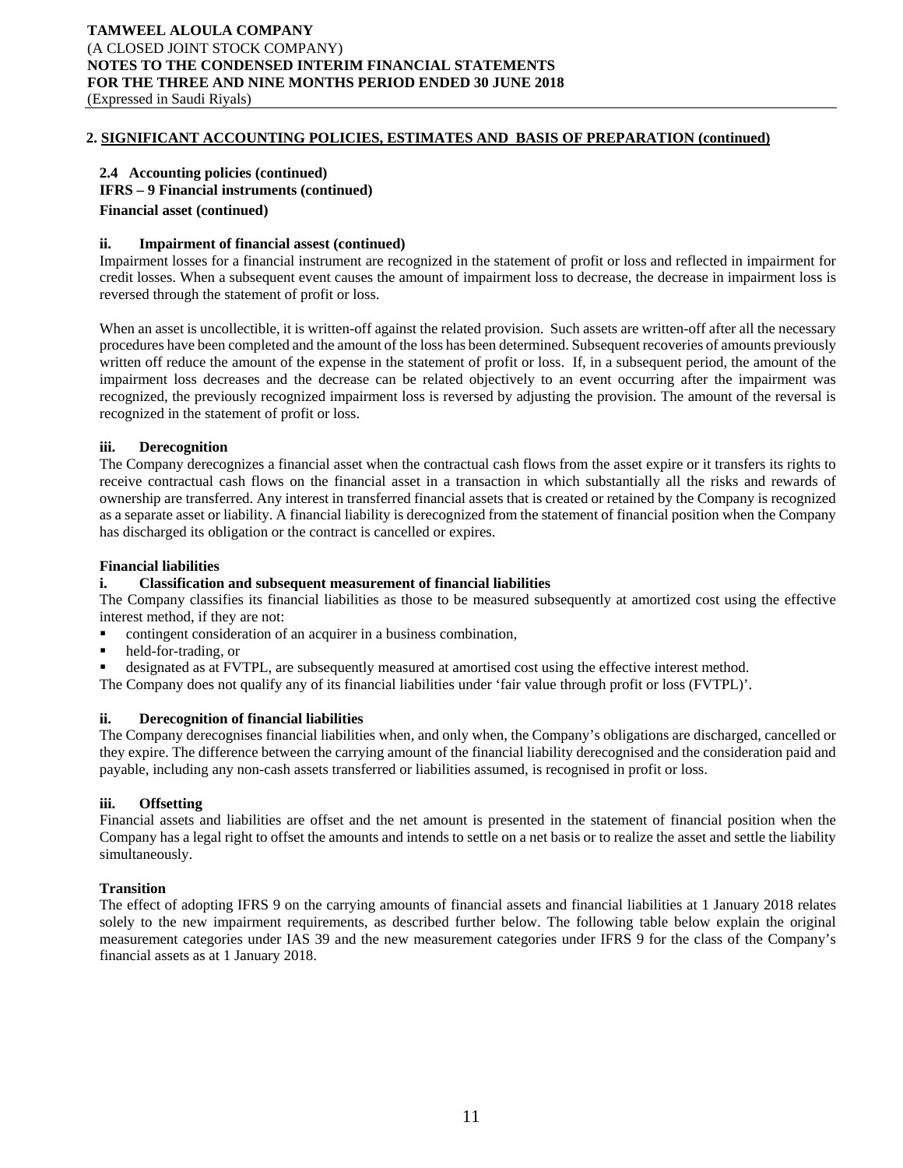## **2. SIGNIFICANT ACCOUNTING POLICIES, ESTIMATES AND BASIS OF PREPARATION (continued)**

# **2.4 Accounting policies (continued) IFRS – 9 Financial instruments (continued) Financial asset (continued)**

## **ii. Impairment of financial assest (continued)**

Impairment losses for a financial instrument are recognized in the statement of profit or loss and reflected in impairment for credit losses. When a subsequent event causes the amount of impairment loss to decrease, the decrease in impairment loss is reversed through the statement of profit or loss.

When an asset is uncollectible, it is written-off against the related provision. Such assets are written-off after all the necessary procedures have been completed and the amount of the loss has been determined. Subsequent recoveries of amounts previously written off reduce the amount of the expense in the statement of profit or loss. If, in a subsequent period, the amount of the impairment loss decreases and the decrease can be related objectively to an event occurring after the impairment was recognized, the previously recognized impairment loss is reversed by adjusting the provision. The amount of the reversal is recognized in the statement of profit or loss.

## **iii. Derecognition**

The Company derecognizes a financial asset when the contractual cash flows from the asset expire or it transfers its rights to receive contractual cash flows on the financial asset in a transaction in which substantially all the risks and rewards of ownership are transferred. Any interest in transferred financial assets that is created or retained by the Company is recognized as a separate asset or liability. A financial liability is derecognized from the statement of financial position when the Company has discharged its obligation or the contract is cancelled or expires.

## **Financial liabilities**

## **i. Classification and subsequent measurement of financial liabilities**

The Company classifies its financial liabilities as those to be measured subsequently at amortized cost using the effective interest method, if they are not:

- contingent consideration of an acquirer in a business combination,
- held-for-trading, or
- designated as at FVTPL, are subsequently measured at amortised cost using the effective interest method.

The Company does not qualify any of its financial liabilities under 'fair value through profit or loss (FVTPL)'.

## **ii. Derecognition of financial liabilities**

The Company derecognises financial liabilities when, and only when, the Company's obligations are discharged, cancelled or they expire. The difference between the carrying amount of the financial liability derecognised and the consideration paid and payable, including any non-cash assets transferred or liabilities assumed, is recognised in profit or loss.

## **iii. Offsetting**

Financial assets and liabilities are offset and the net amount is presented in the statement of financial position when the Company has a legal right to offset the amounts and intends to settle on a net basis or to realize the asset and settle the liability simultaneously.

## **Transition**

The effect of adopting IFRS 9 on the carrying amounts of financial assets and financial liabilities at 1 January 2018 relates solely to the new impairment requirements, as described further below. The following table below explain the original measurement categories under IAS 39 and the new measurement categories under IFRS 9 for the class of the Company's financial assets as at 1 January 2018.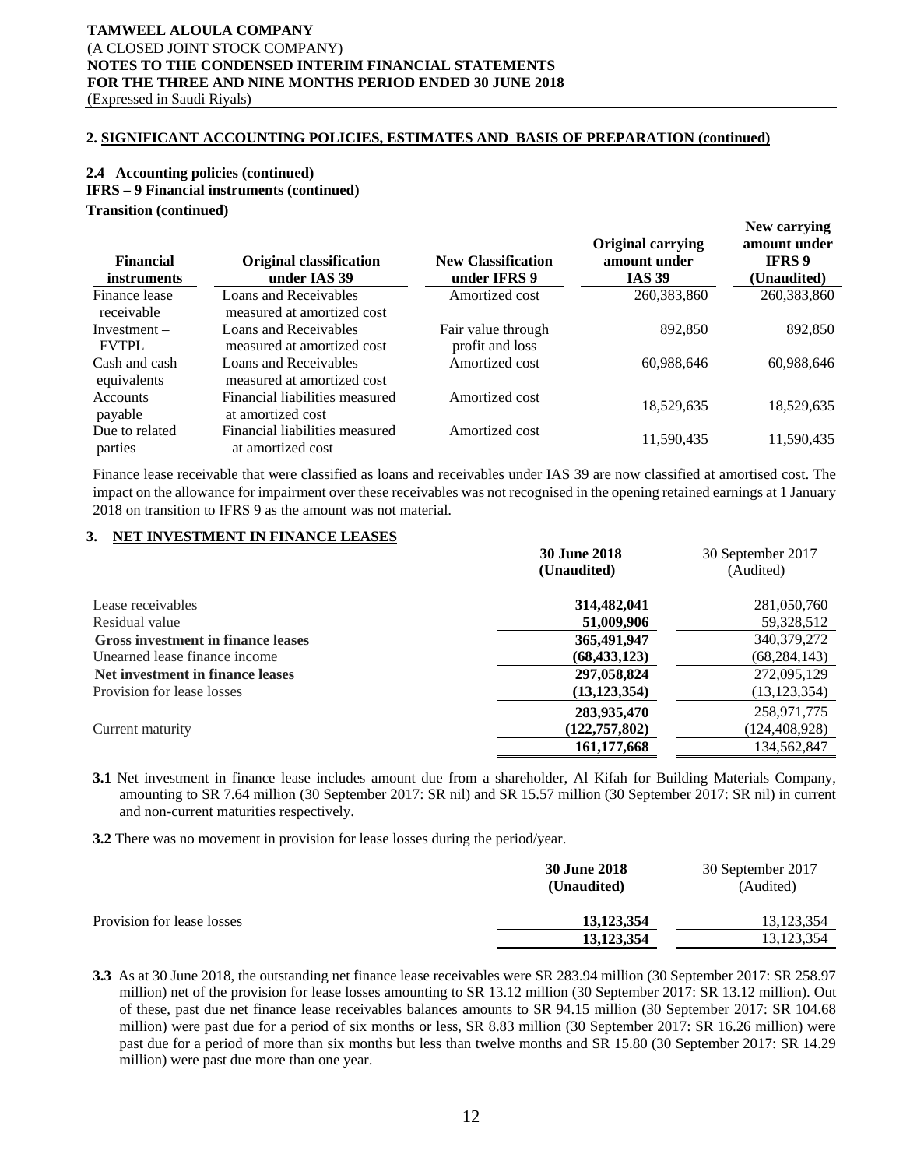## **2. SIGNIFICANT ACCOUNTING POLICIES, ESTIMATES AND BASIS OF PREPARATION (continued)**

# **2.4 Accounting policies (continued) IFRS – 9 Financial instruments (continued) Transition (continued)**

| <b>Financial</b><br><i>instruments</i> | <b>Original classification</b><br>under IAS 39      | <b>New Classification</b><br>under IFRS 9 | <b>Original carrying</b><br>amount under<br><b>IAS 39</b> | New carrying<br>amount under<br><b>IFRS</b> 9<br>(Unaudited) |
|----------------------------------------|-----------------------------------------------------|-------------------------------------------|-----------------------------------------------------------|--------------------------------------------------------------|
| Finance lease<br>receivable            | Loans and Receivables<br>measured at amortized cost | Amortized cost                            | 260,383,860                                               | 260, 383, 860                                                |
| $Investment -$<br><b>FVTPL</b>         | Loans and Receivables<br>measured at amortized cost | Fair value through<br>profit and loss     | 892,850                                                   | 892,850                                                      |
| Cash and cash<br>equivalents           | Loans and Receivables<br>measured at amortized cost | Amortized cost                            | 60,988,646                                                | 60,988,646                                                   |
| <b>Accounts</b><br>payable             | Financial liabilities measured<br>at amortized cost | Amortized cost                            | 18,529,635                                                | 18,529,635                                                   |
| Due to related<br>parties              | Financial liabilities measured<br>at amortized cost | Amortized cost                            | 11,590,435                                                | 11,590,435                                                   |

Finance lease receivable that were classified as loans and receivables under IAS 39 are now classified at amortised cost. The impact on the allowance for impairment over these receivables was not recognised in the opening retained earnings at 1 January 2018 on transition to IFRS 9 as the amount was not material.

# **3. NET INVESTMENT IN FINANCE LEASES**

|                                    | <b>30 June 2018</b><br>(Unaudited) | 30 September 2017<br>(Audited) |
|------------------------------------|------------------------------------|--------------------------------|
| Lease receivables                  | 314,482,041                        | 281,050,760                    |
| Residual value                     | 51,009,906                         | 59,328,512                     |
| Gross investment in finance leases | 365,491,947                        | 340, 379, 272                  |
| Unearned lease finance income      | (68, 433, 123)                     | (68,284,143)                   |
| Net investment in finance leases   | 297,058,824                        | 272,095,129                    |
| Provision for lease losses         | (13, 123, 354)                     | (13, 123, 354)                 |
| Current maturity                   | 283,935,470<br>(122, 757, 802)     | 258,971,775<br>(124,408,928)   |
|                                    | 161, 177, 668                      | 134,562,847                    |

**3.1** Net investment in finance lease includes amount due from a shareholder, Al Kifah for Building Materials Company, amounting to SR 7.64 million (30 September 2017: SR nil) and SR 15.57 million (30 September 2017: SR nil) in current and non-current maturities respectively.

**3.2** There was no movement in provision for lease losses during the period/year.

|                            | <b>30 June 2018</b> | 30 September 2017 |
|----------------------------|---------------------|-------------------|
|                            | (Unaudited)         | (Audited)         |
|                            |                     |                   |
| Provision for lease losses | 13.123.354          | 13.123.354        |
|                            | 13.123.354          | 13.123.354        |

**3.3** As at 30 June 2018, the outstanding net finance lease receivables were SR 283.94 million (30 September 2017: SR 258.97 million) net of the provision for lease losses amounting to SR 13.12 million (30 September 2017: SR 13.12 million). Out of these, past due net finance lease receivables balances amounts to SR 94.15 million (30 September 2017: SR 104.68 million) were past due for a period of six months or less, SR 8.83 million (30 September 2017: SR 16.26 million) were past due for a period of more than six months but less than twelve months and SR 15.80 (30 September 2017: SR 14.29 million) were past due more than one year.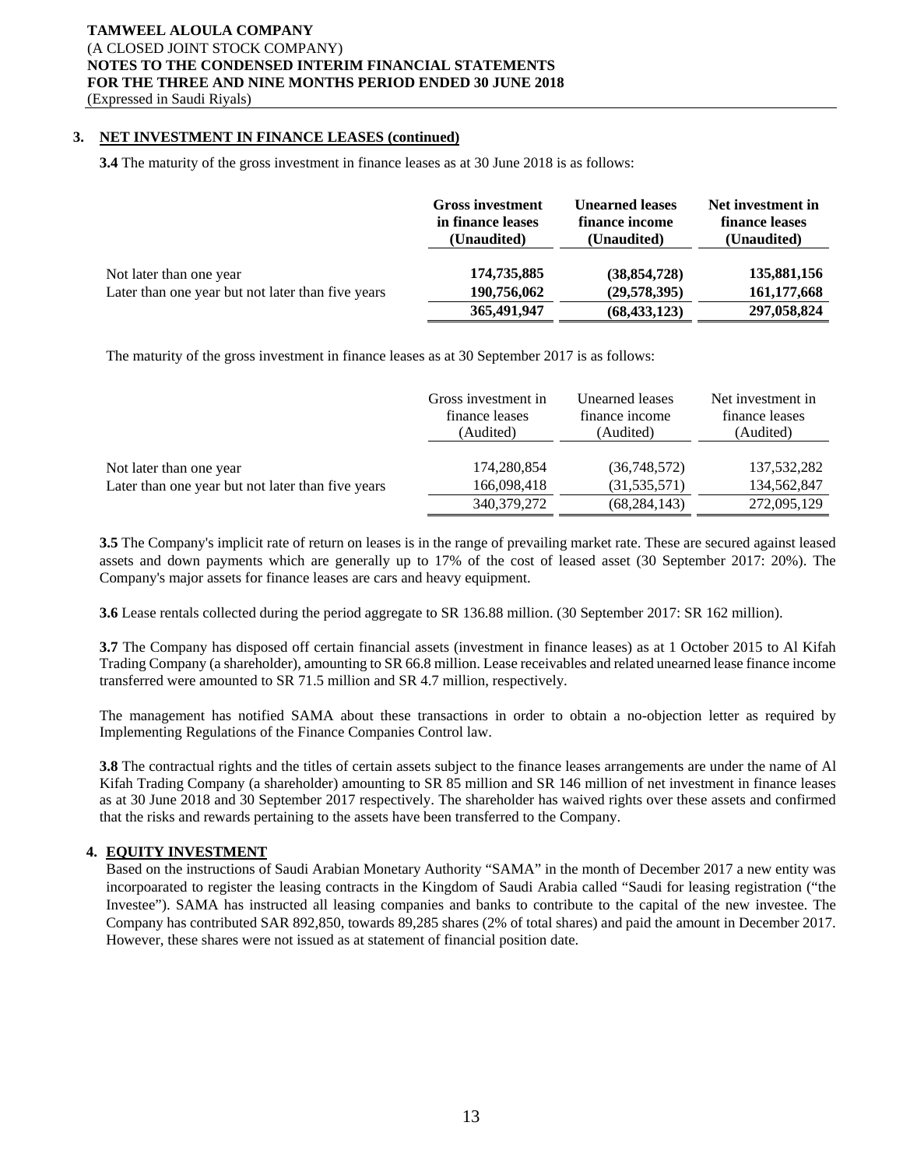# **3. NET INVESTMENT IN FINANCE LEASES (continued)**

**3.4** The maturity of the gross investment in finance leases as at 30 June 2018 is as follows:

|                                                   | <b>Gross investment</b><br>in finance leases<br>(Unaudited) | <b>Unearned leases</b><br>finance income<br>(Unaudited) | Net investment in<br>finance leases<br>(Unaudited) |
|---------------------------------------------------|-------------------------------------------------------------|---------------------------------------------------------|----------------------------------------------------|
| Not later than one year                           | 174,735,885                                                 | (38, 854, 728)                                          | 135,881,156                                        |
| Later than one year but not later than five years | 190,756,062                                                 | (29,578,395)                                            | 161, 177, 668                                      |
|                                                   | 365,491,947                                                 | (68, 433, 123)                                          | 297,058,824                                        |

The maturity of the gross investment in finance leases as at 30 September 2017 is as follows:

|                                                   | Gross investment in | Unearned leases | Net investment in |
|---------------------------------------------------|---------------------|-----------------|-------------------|
|                                                   | finance leases      | finance income  | finance leases    |
|                                                   | (Audited)           | (Audited)       | (Audited)         |
| Not later than one year                           | 174,280,854         | (36,748,572)    | 137,532,282       |
| Later than one year but not later than five years | 166,098,418         | (31, 535, 571)  | 134,562,847       |
|                                                   | 340,379,272         | (68, 284, 143)  | 272,095,129       |

**3.5** The Company's implicit rate of return on leases is in the range of prevailing market rate. These are secured against leased assets and down payments which are generally up to 17% of the cost of leased asset (30 September 2017: 20%). The Company's major assets for finance leases are cars and heavy equipment.

**3.6** Lease rentals collected during the period aggregate to SR 136.88 million. (30 September 2017: SR 162 million).

**3.7** The Company has disposed off certain financial assets (investment in finance leases) as at 1 October 2015 to Al Kifah Trading Company (a shareholder), amounting to SR 66.8 million. Lease receivables and related unearned lease finance income transferred were amounted to SR 71.5 million and SR 4.7 million, respectively.

The management has notified SAMA about these transactions in order to obtain a no-objection letter as required by Implementing Regulations of the Finance Companies Control law.

**3.8** The contractual rights and the titles of certain assets subject to the finance leases arrangements are under the name of Al Kifah Trading Company (a shareholder) amounting to SR 85 million and SR 146 million of net investment in finance leases as at 30 June 2018 and 30 September 2017 respectively. The shareholder has waived rights over these assets and confirmed that the risks and rewards pertaining to the assets have been transferred to the Company.

## **4. EQUITY INVESTMENT**

Based on the instructions of Saudi Arabian Monetary Authority "SAMA" in the month of December 2017 a new entity was incorpoarated to register the leasing contracts in the Kingdom of Saudi Arabia called "Saudi for leasing registration ("the Investee"). SAMA has instructed all leasing companies and banks to contribute to the capital of the new investee. The Company has contributed SAR 892,850, towards 89,285 shares (2% of total shares) and paid the amount in December 2017. However, these shares were not issued as at statement of financial position date.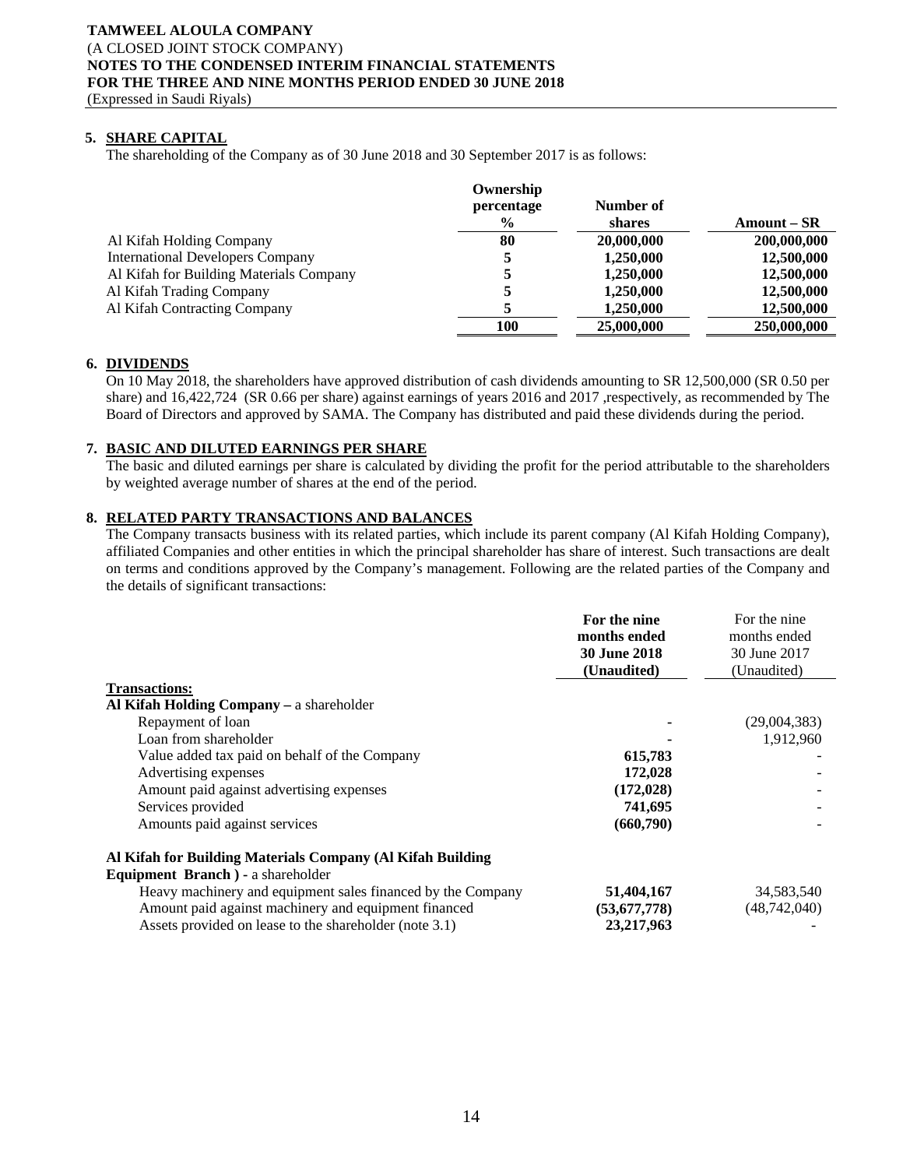# **5. SHARE CAPITAL**

The shareholding of the Company as of 30 June 2018 and 30 September 2017 is as follows:

|                                         | Ownership     |            |             |
|-----------------------------------------|---------------|------------|-------------|
|                                         | percentage    | Number of  |             |
|                                         | $\frac{6}{9}$ | shares     | Amount – SR |
| Al Kifah Holding Company                | 80            | 20,000,000 | 200,000,000 |
| <b>International Developers Company</b> |               | 1,250,000  | 12,500,000  |
| Al Kifah for Building Materials Company |               | 1,250,000  | 12,500,000  |
| Al Kifah Trading Company                |               | 1,250,000  | 12,500,000  |
| Al Kifah Contracting Company            |               | 1,250,000  | 12,500,000  |
|                                         | 100           | 25,000,000 | 250,000,000 |

## **6. DIVIDENDS**

On 10 May 2018, the shareholders have approved distribution of cash dividends amounting to SR 12,500,000 (SR 0.50 per share) and 16,422,724 (SR 0.66 per share) against earnings of years 2016 and 2017, respectively, as recommended by The Board of Directors and approved by SAMA. The Company has distributed and paid these dividends during the period.

## **7. BASIC AND DILUTED EARNINGS PER SHARE**

The basic and diluted earnings per share is calculated by dividing the profit for the period attributable to the shareholders by weighted average number of shares at the end of the period.

## **8. RELATED PARTY TRANSACTIONS AND BALANCES**

The Company transacts business with its related parties, which include its parent company (Al Kifah Holding Company), affiliated Companies and other entities in which the principal shareholder has share of interest. Such transactions are dealt on terms and conditions approved by the Company's management. Following are the related parties of the Company and the details of significant transactions:

|                                                             | For the nine                        | For the nine<br>months ended<br>30 June 2017 |
|-------------------------------------------------------------|-------------------------------------|----------------------------------------------|
|                                                             | months ended<br><b>30 June 2018</b> |                                              |
|                                                             |                                     |                                              |
|                                                             | (Unaudited)                         | (Unaudited)                                  |
| <b>Transactions:</b>                                        |                                     |                                              |
| Al Kifah Holding Company – a shareholder                    |                                     |                                              |
| Repayment of loan                                           |                                     | (29,004,383)                                 |
| Loan from shareholder                                       |                                     | 1,912,960                                    |
| Value added tax paid on behalf of the Company               | 615,783                             |                                              |
| Advertising expenses                                        | 172,028                             |                                              |
| Amount paid against advertising expenses                    | (172, 028)                          |                                              |
| Services provided                                           | 741,695                             |                                              |
| Amounts paid against services                               | (660,790)                           |                                              |
| Al Kifah for Building Materials Company (Al Kifah Building  |                                     |                                              |
| Equipment Branch ) - a shareholder                          |                                     |                                              |
| Heavy machinery and equipment sales financed by the Company | 51,404,167                          | 34,583,540                                   |
| Amount paid against machinery and equipment financed        | (53, 677, 778)                      | (48, 742, 040)                               |

Assets provided on lease to the shareholder (note 3.1) **23,217,963** -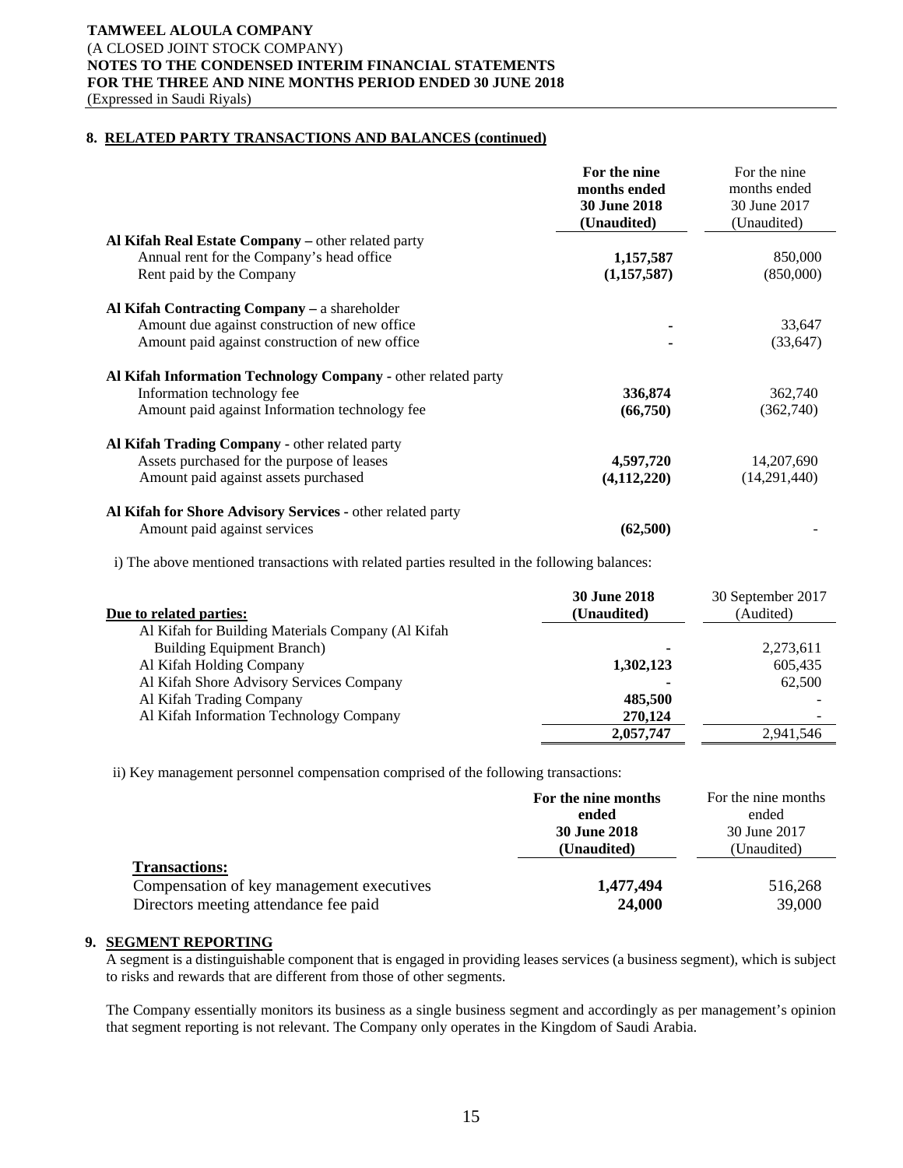## **8. RELATED PARTY TRANSACTIONS AND BALANCES (continued)**

|                                                               | For the nine<br>months ended<br><b>30 June 2018</b><br>(Unaudited) | For the nine<br>months ended<br>30 June 2017<br>(Unaudited) |
|---------------------------------------------------------------|--------------------------------------------------------------------|-------------------------------------------------------------|
| Al Kifah Real Estate Company – other related party            |                                                                    |                                                             |
| Annual rent for the Company's head office                     | 1,157,587                                                          | 850,000                                                     |
| Rent paid by the Company                                      | (1,157,587)                                                        | (850,000)                                                   |
| Al Kifah Contracting Company – a shareholder                  |                                                                    |                                                             |
| Amount due against construction of new office                 |                                                                    | 33,647                                                      |
| Amount paid against construction of new office                |                                                                    | (33, 647)                                                   |
| Al Kifah Information Technology Company - other related party |                                                                    |                                                             |
| Information technology fee                                    | 336,874                                                            | 362,740                                                     |
| Amount paid against Information technology fee                | (66,750)                                                           | (362,740)                                                   |
| Al Kifah Trading Company - other related party                |                                                                    |                                                             |
| Assets purchased for the purpose of leases                    | 4,597,720                                                          | 14, 207, 690                                                |
| Amount paid against assets purchased                          | (4, 112, 220)                                                      | (14,291,440)                                                |
| Al Kifah for Shore Advisory Services - other related party    |                                                                    |                                                             |
| Amount paid against services                                  | (62,500)                                                           |                                                             |

i) The above mentioned transactions with related parties resulted in the following balances:

| Due to related parties:                           | <b>30 June 2018</b><br>(Unaudited) | 30 September 2017<br>(Audited) |
|---------------------------------------------------|------------------------------------|--------------------------------|
| Al Kifah for Building Materials Company (Al Kifah |                                    |                                |
| <b>Building Equipment Branch</b> )                | ٠                                  | 2,273,611                      |
| Al Kifah Holding Company                          | 1,302,123                          | 605,435                        |
| Al Kifah Shore Advisory Services Company          | -                                  | 62,500                         |
| Al Kifah Trading Company                          | 485,500                            |                                |
| Al Kifah Information Technology Company           | 270,124                            |                                |
|                                                   | 2,057,747                          | 2,941,546                      |

ii) Key management personnel compensation comprised of the following transactions:

|                                           | For the nine months | For the nine months |
|-------------------------------------------|---------------------|---------------------|
|                                           | ended               | ended               |
|                                           | <b>30 June 2018</b> | 30 June 2017        |
|                                           | (Unaudited)         | (Unaudited)         |
| <b>Transactions:</b>                      |                     |                     |
| Compensation of key management executives | 1,477,494           | 516,268             |
| Directors meeting attendance fee paid     | 24,000              | 39,000              |

## **9. SEGMENT REPORTING**

A segment is a distinguishable component that is engaged in providing leases services (a business segment), which is subject to risks and rewards that are different from those of other segments.

The Company essentially monitors its business as a single business segment and accordingly as per management's opinion that segment reporting is not relevant. The Company only operates in the Kingdom of Saudi Arabia.